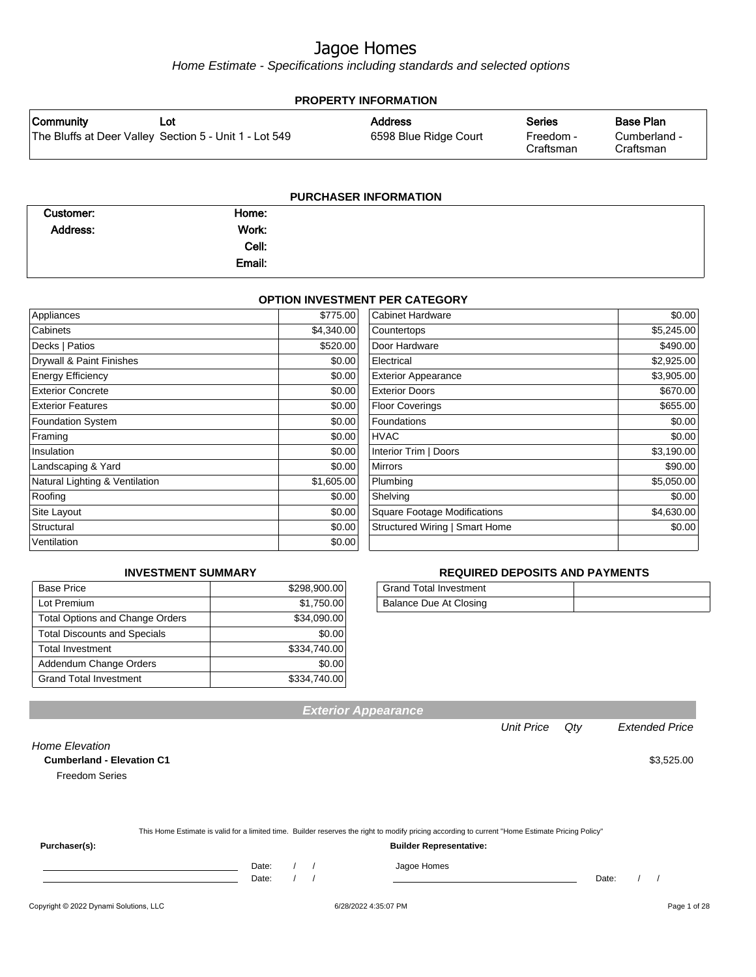Home Estimate - Specifications including standards and selected options

| <b>PROPERTY INFORMATION</b> |                                                        |                       |                        |                           |
|-----------------------------|--------------------------------------------------------|-----------------------|------------------------|---------------------------|
| Community                   | Lot                                                    | <b>Address</b>        | <b>Series</b>          | Base Plan                 |
|                             | The Bluffs at Deer Valley Section 5 - Unit 1 - Lot 549 | 6598 Blue Ridge Court | Freedom -<br>Craftsman | Cumberland -<br>Craftsman |
|                             |                                                        |                       |                        |                           |

| <b>PURCHASER INFORMATION</b> |        |  |  |
|------------------------------|--------|--|--|
| Customer:                    | Home:  |  |  |
| Address:                     | Work:  |  |  |
|                              | Cell:  |  |  |
|                              | Email: |  |  |

#### **OPTION INVESTMENT PER CATEGORY**

| Appliances                     | \$775.00   | <b>Cabinet Hardware</b>             | \$0.00     |
|--------------------------------|------------|-------------------------------------|------------|
| Cabinets                       | \$4,340.00 | Countertops                         | \$5,245.00 |
| Decks   Patios                 | \$520.00   | Door Hardware                       | \$490.00   |
| Drywall & Paint Finishes       | \$0.00     | Electrical                          | \$2,925.00 |
| <b>Energy Efficiency</b>       | \$0.00     | <b>Exterior Appearance</b>          | \$3,905.00 |
| <b>Exterior Concrete</b>       | \$0.00     | <b>Exterior Doors</b>               | \$670.00   |
| <b>Exterior Features</b>       | \$0.00     | <b>Floor Coverings</b>              | \$655.00   |
| <b>Foundation System</b>       | \$0.00     | Foundations                         | \$0.00     |
| Framing                        | \$0.00     | <b>HVAC</b>                         | \$0.00     |
| Insulation                     | \$0.00     | Interior Trim   Doors               | \$3,190.00 |
| Landscaping & Yard             | \$0.00     | <b>Mirrors</b>                      | \$90.00    |
| Natural Lighting & Ventilation | \$1,605.00 | Plumbing                            | \$5,050.00 |
| Roofing                        | \$0.00     | Shelving                            | \$0.00     |
| Site Layout                    | \$0.00     | <b>Square Footage Modifications</b> | \$4,630.00 |
| Structural                     | \$0.00     | Structured Wiring   Smart Home      | \$0.00     |
| Ventilation                    | \$0.00     |                                     |            |

#### **INVESTMENT SUMMARY**

| <b>Base Price</b>                      | \$298,900.00 |
|----------------------------------------|--------------|
| Lot Premium                            | \$1,750.00   |
| <b>Total Options and Change Orders</b> | \$34,090.00  |
| <b>Total Discounts and Specials</b>    | \$0.00       |
| <b>Total Investment</b>                | \$334,740.00 |
| Addendum Change Orders                 | \$0.00       |
| <b>Grand Total Investment</b>          | \$334,740.00 |

#### **REQUIRED DEPOSITS AND PAYMENTS**

| Grand Total Investment |  |
|------------------------|--|
| Balance Due At Closing |  |

Unit Price Qty Extended Price

| Home Elevation                   |       |  |                                                                                                                                                  |       |            |
|----------------------------------|-------|--|--------------------------------------------------------------------------------------------------------------------------------------------------|-------|------------|
| <b>Cumberland - Elevation C1</b> |       |  |                                                                                                                                                  |       | \$3,525.00 |
| <b>Freedom Series</b>            |       |  |                                                                                                                                                  |       |            |
|                                  |       |  |                                                                                                                                                  |       |            |
|                                  |       |  |                                                                                                                                                  |       |            |
|                                  |       |  |                                                                                                                                                  |       |            |
|                                  |       |  | This Home Estimate is valid for a limited time. Builder reserves the right to modify pricing according to current "Home Estimate Pricing Policy" |       |            |
| Purchaser(s):                    |       |  | <b>Builder Representative:</b>                                                                                                                   |       |            |
|                                  | Date: |  | Jagoe Homes                                                                                                                                      |       |            |
|                                  | Date: |  |                                                                                                                                                  | Date: |            |

**Exterior Appearance**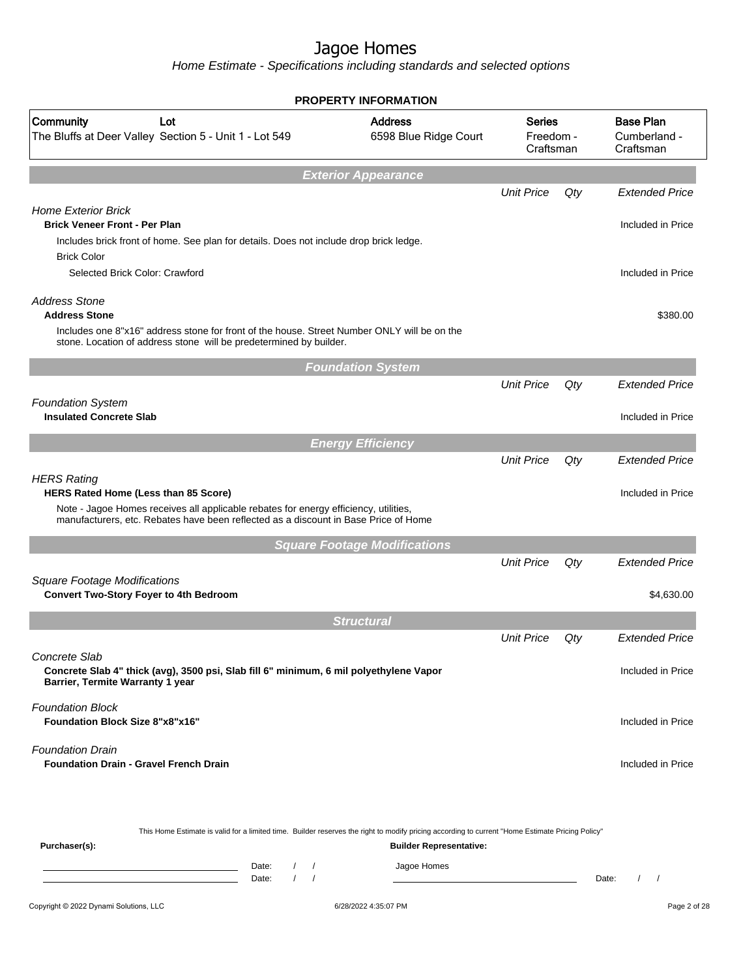|                                                                                                                                                                                                                   | <b>PROPERTY INFORMATION</b>             |                                         |     |                                               |
|-------------------------------------------------------------------------------------------------------------------------------------------------------------------------------------------------------------------|-----------------------------------------|-----------------------------------------|-----|-----------------------------------------------|
| Community<br>Lot<br>The Bluffs at Deer Valley Section 5 - Unit 1 - Lot 549                                                                                                                                        | <b>Address</b><br>6598 Blue Ridge Court | <b>Series</b><br>Freedom -<br>Craftsman |     | <b>Base Plan</b><br>Cumberland -<br>Craftsman |
|                                                                                                                                                                                                                   | <b>Exterior Appearance</b>              |                                         |     |                                               |
|                                                                                                                                                                                                                   |                                         | <b>Unit Price</b>                       | Qty | <b>Extended Price</b>                         |
| <b>Home Exterior Brick</b><br><b>Brick Veneer Front - Per Plan</b><br>Includes brick front of home. See plan for details. Does not include drop brick ledge.                                                      |                                         |                                         |     | Included in Price                             |
| <b>Brick Color</b>                                                                                                                                                                                                |                                         |                                         |     |                                               |
| Selected Brick Color: Crawford                                                                                                                                                                                    |                                         |                                         |     | Included in Price                             |
| <b>Address Stone</b><br><b>Address Stone</b><br>Includes one 8"x16" address stone for front of the house. Street Number ONLY will be on the<br>stone. Location of address stone will be predetermined by builder. |                                         |                                         |     | \$380.00                                      |
|                                                                                                                                                                                                                   | <b>Foundation System</b>                |                                         |     |                                               |
|                                                                                                                                                                                                                   |                                         | <b>Unit Price</b>                       | Qty | <b>Extended Price</b>                         |
| <b>Foundation System</b><br><b>Insulated Concrete Slab</b>                                                                                                                                                        |                                         |                                         |     | Included in Price                             |
|                                                                                                                                                                                                                   | <b>Energy Efficiency</b>                |                                         |     |                                               |
|                                                                                                                                                                                                                   |                                         | <b>Unit Price</b>                       | Qty | <b>Extended Price</b>                         |
| <b>HERS Rating</b><br>HERS Rated Home (Less than 85 Score)                                                                                                                                                        |                                         |                                         |     | Included in Price                             |
| Note - Jagoe Homes receives all applicable rebates for energy efficiency, utilities,<br>manufacturers, etc. Rebates have been reflected as a discount in Base Price of Home                                       |                                         |                                         |     |                                               |
|                                                                                                                                                                                                                   | <b>Square Footage Modifications</b>     |                                         |     |                                               |
|                                                                                                                                                                                                                   |                                         | <b>Unit Price</b>                       | Qty | <b>Extended Price</b>                         |
| <b>Square Footage Modifications</b><br><b>Convert Two-Story Foyer to 4th Bedroom</b>                                                                                                                              |                                         |                                         |     | \$4,630.00                                    |
|                                                                                                                                                                                                                   | <b>Structural</b>                       |                                         |     |                                               |
|                                                                                                                                                                                                                   |                                         | <b>Unit Price</b>                       | Qty | <b>Extended Price</b>                         |
| Concrete Slab<br>Concrete Slab 4" thick (avg), 3500 psi, Slab fill 6" minimum, 6 mil polyethylene Vapor<br>Barrier, Termite Warranty 1 year                                                                       |                                         |                                         |     | Included in Price                             |
| <b>Foundation Block</b><br><b>Foundation Block Size 8"x8"x16"</b>                                                                                                                                                 |                                         |                                         |     | Included in Price                             |
| <b>Foundation Drain</b><br><b>Foundation Drain - Gravel French Drain</b>                                                                                                                                          |                                         |                                         |     | Included in Price                             |
| This Home Estimate is valid for a limited time. Builder reserves the right to modify pricing according to current "Home Estimate Pricing Policy"                                                                  |                                         |                                         |     |                                               |
| Purchaser(s):                                                                                                                                                                                                     | <b>Builder Representative:</b>          |                                         |     |                                               |
| Date:<br>$\left  \right $<br>$\sqrt{ }$<br>$\prime$<br>Date:                                                                                                                                                      | Jagoe Homes                             |                                         |     | Date:<br>$\sqrt{ }$                           |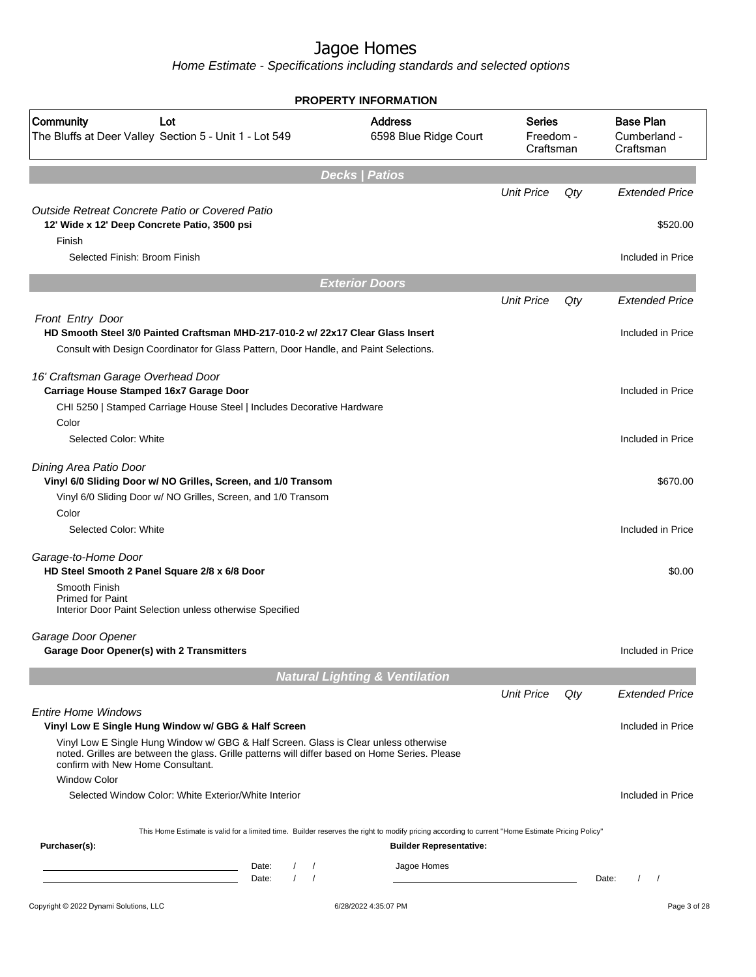|                                                                                                                                                                                                                             | <b>PROPERTY INFORMATION</b>               |                                         |     |                                               |
|-----------------------------------------------------------------------------------------------------------------------------------------------------------------------------------------------------------------------------|-------------------------------------------|-----------------------------------------|-----|-----------------------------------------------|
| Community<br>Lot<br>The Bluffs at Deer Valley Section 5 - Unit 1 - Lot 549                                                                                                                                                  | <b>Address</b><br>6598 Blue Ridge Court   | <b>Series</b><br>Freedom -<br>Craftsman |     | <b>Base Plan</b><br>Cumberland -<br>Craftsman |
|                                                                                                                                                                                                                             | <b>Decks   Patios</b>                     |                                         |     |                                               |
|                                                                                                                                                                                                                             |                                           | <b>Unit Price</b>                       | Qty | <b>Extended Price</b>                         |
| Outside Retreat Concrete Patio or Covered Patio<br>12' Wide x 12' Deep Concrete Patio, 3500 psi                                                                                                                             |                                           |                                         |     | \$520.00                                      |
| Finish<br>Selected Finish: Broom Finish                                                                                                                                                                                     |                                           |                                         |     | Included in Price                             |
|                                                                                                                                                                                                                             | <b>Exterior Doors</b>                     |                                         |     |                                               |
|                                                                                                                                                                                                                             |                                           | <b>Unit Price</b>                       | Qty | <b>Extended Price</b>                         |
| Front Entry Door<br>HD Smooth Steel 3/0 Painted Craftsman MHD-217-010-2 w/ 22x17 Clear Glass Insert                                                                                                                         |                                           |                                         |     | Included in Price                             |
| Consult with Design Coordinator for Glass Pattern, Door Handle, and Paint Selections.                                                                                                                                       |                                           |                                         |     |                                               |
| 16' Craftsman Garage Overhead Door<br>Carriage House Stamped 16x7 Garage Door                                                                                                                                               |                                           |                                         |     | Included in Price                             |
| CHI 5250   Stamped Carriage House Steel   Includes Decorative Hardware<br>Color                                                                                                                                             |                                           |                                         |     |                                               |
| Selected Color: White                                                                                                                                                                                                       |                                           |                                         |     | Included in Price                             |
| Dining Area Patio Door<br>Vinyl 6/0 Sliding Door w/ NO Grilles, Screen, and 1/0 Transom<br>Vinyl 6/0 Sliding Door w/ NO Grilles, Screen, and 1/0 Transom                                                                    |                                           |                                         |     | \$670.00                                      |
| Color<br>Selected Color: White                                                                                                                                                                                              |                                           |                                         |     | Included in Price                             |
| Garage-to-Home Door<br>HD Steel Smooth 2 Panel Square 2/8 x 6/8 Door                                                                                                                                                        |                                           |                                         |     | \$0.00                                        |
| Smooth Finish<br><b>Primed for Paint</b><br>Interior Door Paint Selection unless otherwise Specified                                                                                                                        |                                           |                                         |     |                                               |
| Garage Door Opener<br>Garage Door Opener(s) with 2 Transmitters                                                                                                                                                             |                                           |                                         |     | Included in Price                             |
|                                                                                                                                                                                                                             | <b>Natural Lighting &amp; Ventilation</b> |                                         |     |                                               |
|                                                                                                                                                                                                                             |                                           | <b>Unit Price</b>                       | Qty | <b>Extended Price</b>                         |
| <b>Entire Home Windows</b><br>Vinyl Low E Single Hung Window w/ GBG & Half Screen                                                                                                                                           |                                           |                                         |     | Included in Price                             |
| Vinyl Low E Single Hung Window w/ GBG & Half Screen. Glass is Clear unless otherwise<br>noted. Grilles are between the glass. Grille patterns will differ based on Home Series. Please<br>confirm with New Home Consultant. |                                           |                                         |     |                                               |
| <b>Window Color</b>                                                                                                                                                                                                         |                                           |                                         |     |                                               |
| Selected Window Color: White Exterior/White Interior                                                                                                                                                                        |                                           |                                         |     | Included in Price                             |
| This Home Estimate is valid for a limited time. Builder reserves the right to modify pricing according to current "Home Estimate Pricing Policy"<br>Purchaser(s):                                                           | <b>Builder Representative:</b>            |                                         |     |                                               |
| Date:<br>$\sqrt{2}$<br>$\sqrt{ }$<br>$\sqrt{ }$<br>$\prime$<br>Date:                                                                                                                                                        | Jagoe Homes                               |                                         |     | Date:<br>$\prime$<br>$\prime$                 |
| Copyright © 2022 Dynami Solutions, LLC                                                                                                                                                                                      | 6/28/2022 4:35:07 PM                      |                                         |     | Page 3 of 28                                  |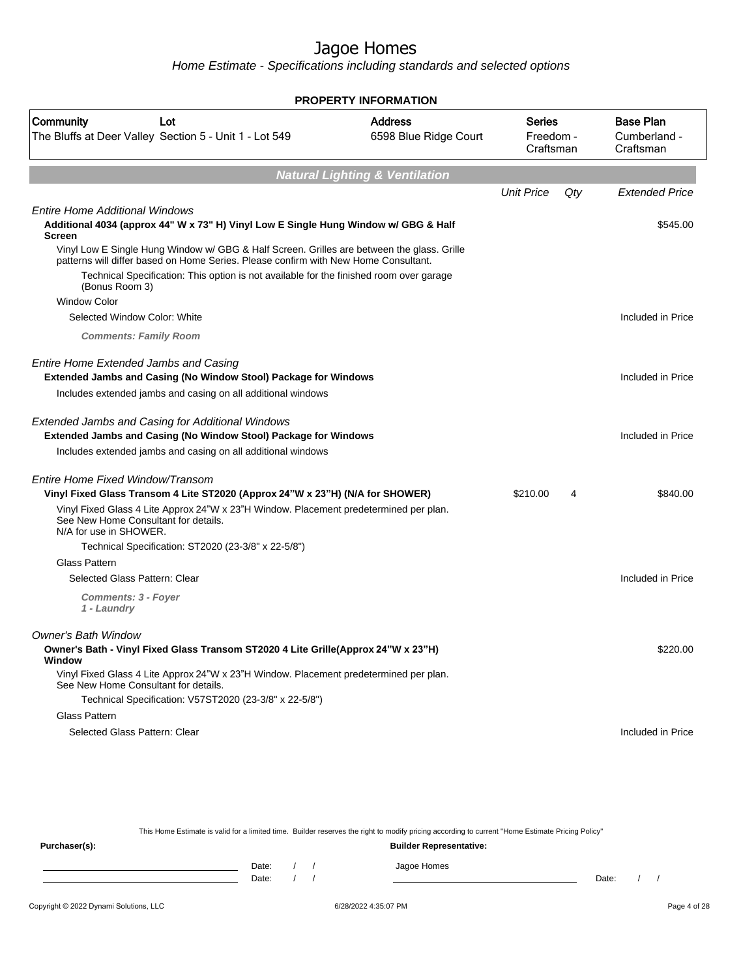Home Estimate - Specifications including standards and selected options

|                                                                                                                                                                                                                                                                                                | <b>PROPERTY INFORMATION</b>               |                                  |     |                                               |
|------------------------------------------------------------------------------------------------------------------------------------------------------------------------------------------------------------------------------------------------------------------------------------------------|-------------------------------------------|----------------------------------|-----|-----------------------------------------------|
| Community<br>Lot<br>The Bluffs at Deer Valley Section 5 - Unit 1 - Lot 549                                                                                                                                                                                                                     | <b>Address</b><br>6598 Blue Ridge Court   | Series<br>Freedom -<br>Craftsman |     | <b>Base Plan</b><br>Cumberland -<br>Craftsman |
|                                                                                                                                                                                                                                                                                                | <b>Natural Lighting &amp; Ventilation</b> |                                  |     |                                               |
|                                                                                                                                                                                                                                                                                                |                                           | <b>Unit Price</b>                | Qty | <b>Extended Price</b>                         |
| <b>Entire Home Additional Windows</b><br>Additional 4034 (approx 44" W x 73" H) Vinyl Low E Single Hung Window w/ GBG & Half<br><b>Screen</b>                                                                                                                                                  |                                           |                                  |     | \$545.00                                      |
| Vinyl Low E Single Hung Window w/ GBG & Half Screen. Grilles are between the glass. Grille<br>patterns will differ based on Home Series. Please confirm with New Home Consultant.<br>Technical Specification: This option is not available for the finished room over garage<br>(Bonus Room 3) |                                           |                                  |     |                                               |
| <b>Window Color</b>                                                                                                                                                                                                                                                                            |                                           |                                  |     |                                               |
| Selected Window Color: White                                                                                                                                                                                                                                                                   |                                           |                                  |     | Included in Price                             |
| <b>Comments: Family Room</b>                                                                                                                                                                                                                                                                   |                                           |                                  |     |                                               |
| Entire Home Extended Jambs and Casing<br>Extended Jambs and Casing (No Window Stool) Package for Windows                                                                                                                                                                                       |                                           |                                  |     | Included in Price                             |
| Includes extended jambs and casing on all additional windows                                                                                                                                                                                                                                   |                                           |                                  |     |                                               |
| <b>Extended Jambs and Casing for Additional Windows</b><br>Extended Jambs and Casing (No Window Stool) Package for Windows<br>Includes extended jambs and casing on all additional windows                                                                                                     |                                           |                                  |     | Included in Price                             |
|                                                                                                                                                                                                                                                                                                |                                           |                                  |     |                                               |
| Entire Home Fixed Window/Transom<br>Vinyl Fixed Glass Transom 4 Lite ST2020 (Approx 24"W x 23"H) (N/A for SHOWER)                                                                                                                                                                              |                                           | \$210.00                         | 4   | \$840.00                                      |
| Vinyl Fixed Glass 4 Lite Approx 24"W x 23"H Window. Placement predetermined per plan.<br>See New Home Consultant for details.<br>N/A for use in SHOWER.                                                                                                                                        |                                           |                                  |     |                                               |
| Technical Specification: ST2020 (23-3/8" x 22-5/8")                                                                                                                                                                                                                                            |                                           |                                  |     |                                               |
| <b>Glass Pattern</b>                                                                                                                                                                                                                                                                           |                                           |                                  |     |                                               |
| Selected Glass Pattern: Clear                                                                                                                                                                                                                                                                  |                                           |                                  |     | Included in Price                             |
| Comments: 3 - Foyer<br>1 - Laundry                                                                                                                                                                                                                                                             |                                           |                                  |     |                                               |
| Owner's Bath Window                                                                                                                                                                                                                                                                            |                                           |                                  |     |                                               |
| Owner's Bath - Vinyl Fixed Glass Transom ST2020 4 Lite Grille(Approx 24"W x 23"H)<br>Window                                                                                                                                                                                                    |                                           |                                  |     | \$220.00                                      |
| Vinyl Fixed Glass 4 Lite Approx 24"W x 23"H Window. Placement predetermined per plan.<br>See New Home Consultant for details.                                                                                                                                                                  |                                           |                                  |     |                                               |
| Technical Specification: V57ST2020 (23-3/8" x 22-5/8")                                                                                                                                                                                                                                         |                                           |                                  |     |                                               |
| Glass Pattern                                                                                                                                                                                                                                                                                  |                                           |                                  |     |                                               |
| Selected Glass Pattern: Clear                                                                                                                                                                                                                                                                  |                                           |                                  |     | Included in Price                             |

This Home Estimate is valid for a limited time. Builder reserves the right to modify pricing according to current "Home Estimate Pricing Policy"

**Purchaser(s): Builder Representative:** Date: / / Jagoe Homes<br>Date: / / Jagoe Homes Date: / / **Date: / / 2006** Date: / / / Date: / / / Date: / / / 2006 Date: / / / 2006 Date: / / / 2006 Date: / / / 2006 Date: / / / 2007 Date: / / / 2007 Date: / / / 2007 Date: / / / 2007 Date: / / / 2007 Date: / / / 2007 D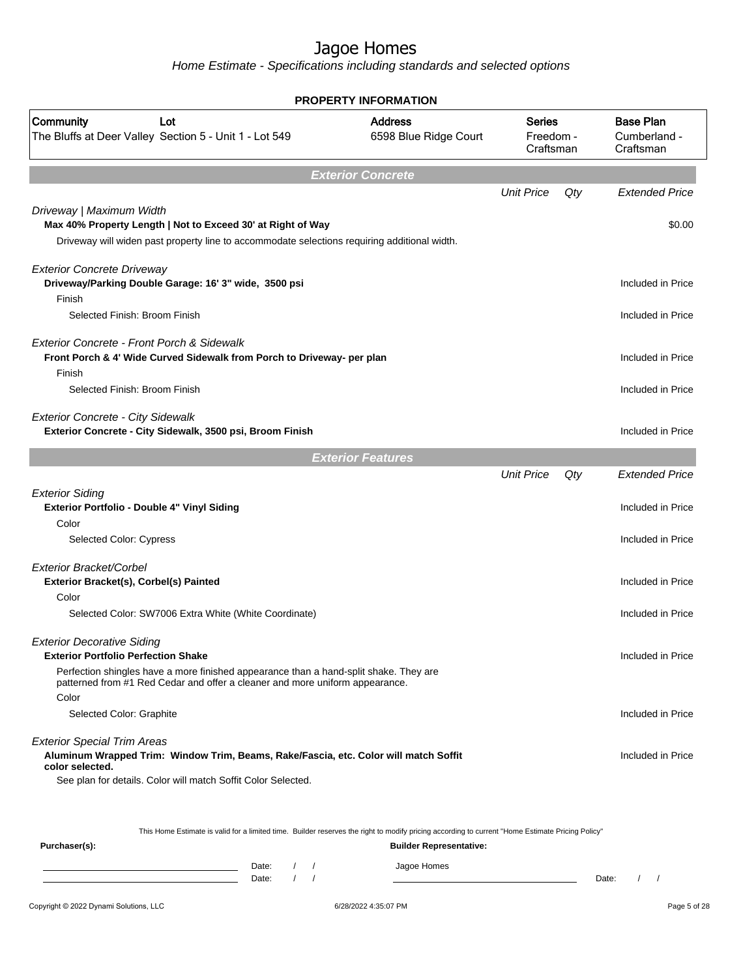Home Estimate - Specifications including standards and selected options

|                                                                                 |                                                                                                                                                                       | <b>PROPERTY INFORMATION</b>             |                                  |     |                                               |
|---------------------------------------------------------------------------------|-----------------------------------------------------------------------------------------------------------------------------------------------------------------------|-----------------------------------------|----------------------------------|-----|-----------------------------------------------|
| Community<br>Lot<br>The Bluffs at Deer Valley Section 5 - Unit 1 - Lot 549      |                                                                                                                                                                       | <b>Address</b><br>6598 Blue Ridge Court | Series<br>Freedom -<br>Craftsman |     | <b>Base Plan</b><br>Cumberland -<br>Craftsman |
|                                                                                 |                                                                                                                                                                       | <b>Exterior Concrete</b>                |                                  |     |                                               |
|                                                                                 |                                                                                                                                                                       |                                         | <b>Unit Price</b>                | Qty | <b>Extended Price</b>                         |
| Driveway   Maximum Width                                                        | Max 40% Property Length   Not to Exceed 30' at Right of Way<br>Driveway will widen past property line to accommodate selections requiring additional width.           |                                         |                                  |     | \$0.00                                        |
| <b>Exterior Concrete Driveway</b><br>Finish                                     | Driveway/Parking Double Garage: 16' 3" wide, 3500 psi                                                                                                                 |                                         |                                  |     | Included in Price                             |
| Selected Finish: Broom Finish                                                   |                                                                                                                                                                       |                                         |                                  |     | Included in Price                             |
| Exterior Concrete - Front Porch & Sidewalk<br>Finish                            | Front Porch & 4' Wide Curved Sidewalk from Porch to Driveway- per plan                                                                                                |                                         |                                  |     | Included in Price                             |
| Selected Finish: Broom Finish                                                   |                                                                                                                                                                       |                                         |                                  |     | Included in Price                             |
| <b>Exterior Concrete - City Sidewalk</b>                                        | Exterior Concrete - City Sidewalk, 3500 psi, Broom Finish                                                                                                             |                                         |                                  |     | Included in Price                             |
|                                                                                 |                                                                                                                                                                       | <b>Exterior Features</b>                |                                  |     |                                               |
|                                                                                 |                                                                                                                                                                       |                                         | <b>Unit Price</b>                | Qty | <b>Extended Price</b>                         |
| <b>Exterior Siding</b><br>Exterior Portfolio - Double 4" Vinyl Siding           |                                                                                                                                                                       |                                         |                                  |     | Included in Price                             |
| Color<br><b>Selected Color: Cypress</b>                                         |                                                                                                                                                                       |                                         |                                  |     | Included in Price                             |
| Exterior Bracket/Corbel<br>Exterior Bracket(s), Corbel(s) Painted<br>Color      |                                                                                                                                                                       |                                         |                                  |     | Included in Price                             |
|                                                                                 | Selected Color: SW7006 Extra White (White Coordinate)                                                                                                                 |                                         |                                  |     | Included in Price                             |
| <b>Exterior Decorative Siding</b><br><b>Exterior Portfolio Perfection Shake</b> |                                                                                                                                                                       |                                         |                                  |     | Included in Price                             |
| Color                                                                           | Perfection shingles have a more finished appearance than a hand-split shake. They are<br>patterned from #1 Red Cedar and offer a cleaner and more uniform appearance. |                                         |                                  |     |                                               |
| Selected Color: Graphite                                                        |                                                                                                                                                                       |                                         |                                  |     | Included in Price                             |
| <b>Exterior Special Trim Areas</b><br>color selected.                           | Aluminum Wrapped Trim: Window Trim, Beams, Rake/Fascia, etc. Color will match Soffit<br>See plan for details. Color will match Soffit Color Selected.                 |                                         |                                  |     | Included in Price                             |
| Purchaser(s):                                                                   | This Home Estimate is valid for a limited time. Builder reserves the right to modify pricing according to current "Home Estimate Pricing Policy"                      | <b>Builder Representative:</b>          |                                  |     |                                               |

Date: / / Jagoe Homes<br>Date: / / Jagoe Homes Date: / / **Date: / / 2006** Date: / / / Date: / / / Date: / / / 2006 Date: / / / 2006 Date: / / / 2006 Date: / / / 2006 Date: / / / 2007 Date: / / / 2007 Date: / / / 2007 Date: / / / 2007 Date: / / / 2007 Date: / / / 2007 D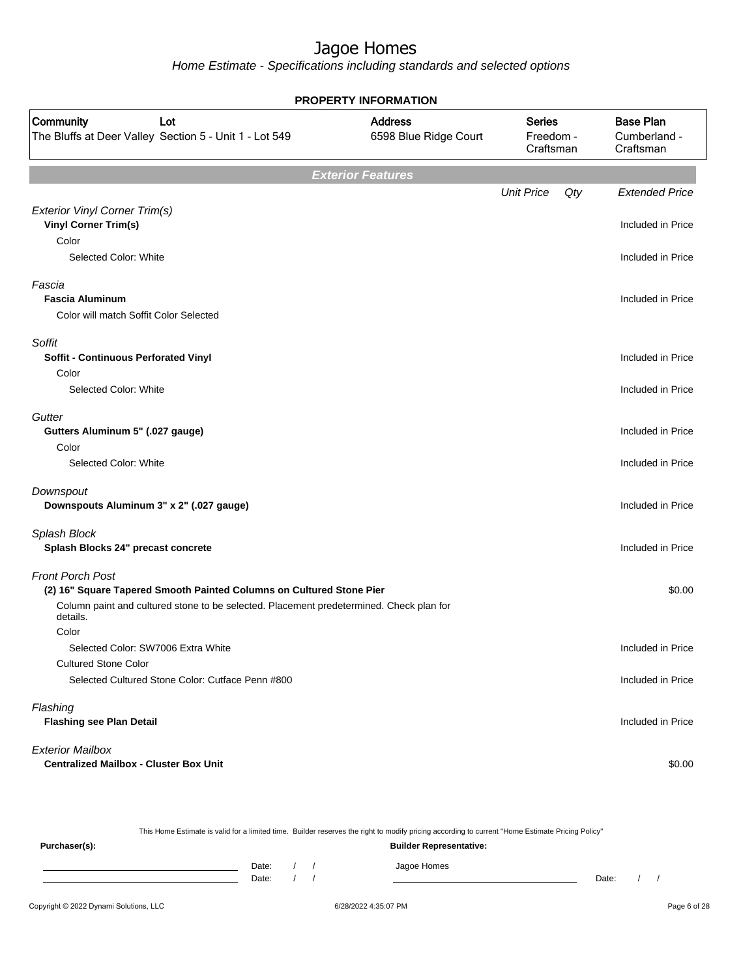Home Estimate - Specifications including standards and selected options

|                                                                                                     | <b>PROPERTY INFORMATION</b>             |                                         |     |                                               |
|-----------------------------------------------------------------------------------------------------|-----------------------------------------|-----------------------------------------|-----|-----------------------------------------------|
| Community<br>Lot<br>The Bluffs at Deer Valley Section 5 - Unit 1 - Lot 549                          | <b>Address</b><br>6598 Blue Ridge Court | <b>Series</b><br>Freedom -<br>Craftsman |     | <b>Base Plan</b><br>Cumberland -<br>Craftsman |
|                                                                                                     | <b>Exterior Features</b>                |                                         |     |                                               |
|                                                                                                     |                                         | <b>Unit Price</b>                       | Qty | <b>Extended Price</b>                         |
| <b>Exterior Vinyl Corner Trim(s)</b><br><b>Vinyl Corner Trim(s)</b>                                 |                                         |                                         |     | Included in Price                             |
| Color                                                                                               |                                         |                                         |     |                                               |
| Selected Color: White                                                                               |                                         |                                         |     | Included in Price                             |
| Fascia<br><b>Fascia Aluminum</b>                                                                    |                                         |                                         |     | Included in Price                             |
| Color will match Soffit Color Selected                                                              |                                         |                                         |     |                                               |
|                                                                                                     |                                         |                                         |     |                                               |
| Soffit<br><b>Soffit - Continuous Perforated Vinyl</b><br>Color                                      |                                         |                                         |     | Included in Price                             |
| Selected Color: White                                                                               |                                         |                                         |     | Included in Price                             |
|                                                                                                     |                                         |                                         |     |                                               |
| Gutter<br>Gutters Aluminum 5" (.027 gauge)                                                          |                                         |                                         |     | Included in Price                             |
| Color                                                                                               |                                         |                                         |     |                                               |
| Selected Color: White                                                                               |                                         |                                         |     | Included in Price                             |
| Downspout                                                                                           |                                         |                                         |     |                                               |
| Downspouts Aluminum 3" x 2" (.027 gauge)                                                            |                                         |                                         |     | Included in Price                             |
| Splash Block                                                                                        |                                         |                                         |     |                                               |
| Splash Blocks 24" precast concrete                                                                  |                                         |                                         |     | Included in Price                             |
| <b>Front Porch Post</b>                                                                             |                                         |                                         |     |                                               |
| (2) 16" Square Tapered Smooth Painted Columns on Cultured Stone Pier                                |                                         |                                         |     | \$0.00                                        |
| Column paint and cultured stone to be selected. Placement predetermined. Check plan for<br>details. |                                         |                                         |     |                                               |
| Color                                                                                               |                                         |                                         |     |                                               |
| Selected Color: SW7006 Extra White                                                                  |                                         |                                         |     | Included in Price                             |
| <b>Cultured Stone Color</b>                                                                         |                                         |                                         |     |                                               |
| Selected Cultured Stone Color: Cutface Penn #800                                                    |                                         |                                         |     | Included in Price                             |
| Flashing<br><b>Flashing see Plan Detail</b>                                                         |                                         |                                         |     | Included in Price                             |
| <b>Exterior Mailbox</b>                                                                             |                                         |                                         |     |                                               |
| <b>Centralized Mailbox - Cluster Box Unit</b>                                                       |                                         |                                         |     | \$0.00                                        |

Copyright © 2022 Dynami Solutions, LLC <br>
6/28/2022 4:35:07 PM Page 6 of 28 This Home Estimate is valid for a limited time. Builder reserves the right to modify pricing according to current "Home Estimate Pricing Policy" **Purchaser(s): Builder Representative:** Date: / / Jagoe Homes<br>Date: / / Jagoe Homes Date: / / **Date: / / 2006** Date: / / / Date: / / / Date: / / / 2006 Date: / / / 2006 Date: / / / 2006 Date: / / / 2006 Date: / / / 2007 Date: / / / 2007 Date: / / / 2007 Date: / / / 2007 Date: / / / 2007 Date: / / / 2007 D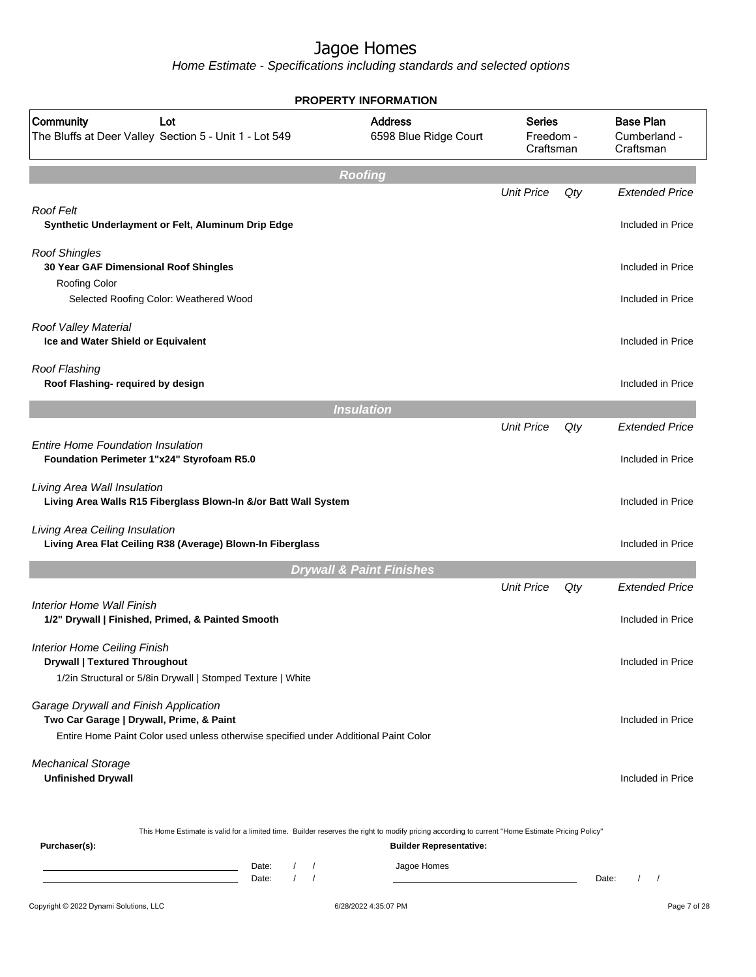|                                                                                                                                                                           | <b>PROPERTY INFORMATION</b>                                                                                                                                                        |                                         |       |                                               |
|---------------------------------------------------------------------------------------------------------------------------------------------------------------------------|------------------------------------------------------------------------------------------------------------------------------------------------------------------------------------|-----------------------------------------|-------|-----------------------------------------------|
| Community<br>Lot<br>The Bluffs at Deer Valley Section 5 - Unit 1 - Lot 549                                                                                                | <b>Address</b><br>6598 Blue Ridge Court                                                                                                                                            | <b>Series</b><br>Freedom -<br>Craftsman |       | <b>Base Plan</b><br>Cumberland -<br>Craftsman |
|                                                                                                                                                                           | Roofing                                                                                                                                                                            |                                         |       |                                               |
| Roof Felt<br>Synthetic Underlayment or Felt, Aluminum Drip Edge                                                                                                           |                                                                                                                                                                                    | <b>Unit Price</b>                       | Qty   | <b>Extended Price</b><br>Included in Price    |
| <b>Roof Shingles</b><br>30 Year GAF Dimensional Roof Shingles<br>Roofing Color                                                                                            |                                                                                                                                                                                    |                                         |       | Included in Price                             |
| Selected Roofing Color: Weathered Wood                                                                                                                                    |                                                                                                                                                                                    |                                         |       | Included in Price                             |
| Roof Valley Material<br>Ice and Water Shield or Equivalent                                                                                                                |                                                                                                                                                                                    |                                         |       | Included in Price                             |
| <b>Roof Flashing</b><br>Roof Flashing- required by design                                                                                                                 |                                                                                                                                                                                    |                                         |       | Included in Price                             |
|                                                                                                                                                                           | <b>Insulation</b>                                                                                                                                                                  |                                         |       |                                               |
|                                                                                                                                                                           |                                                                                                                                                                                    | <b>Unit Price</b>                       | Qty   | <b>Extended Price</b>                         |
| <b>Entire Home Foundation Insulation</b><br>Foundation Perimeter 1"x24" Styrofoam R5.0                                                                                    |                                                                                                                                                                                    |                                         |       | Included in Price                             |
| Living Area Wall Insulation<br>Living Area Walls R15 Fiberglass Blown-In &/or Batt Wall System                                                                            |                                                                                                                                                                                    |                                         |       | Included in Price                             |
| Living Area Ceiling Insulation<br>Living Area Flat Ceiling R38 (Average) Blown-In Fiberglass                                                                              |                                                                                                                                                                                    |                                         |       | Included in Price                             |
|                                                                                                                                                                           | <b>Drywall &amp; Paint Finishes</b>                                                                                                                                                |                                         |       |                                               |
| Interior Home Wall Finish                                                                                                                                                 |                                                                                                                                                                                    | <b>Unit Price</b>                       | Qty   | <b>Extended Price</b>                         |
| 1/2" Drywall   Finished, Primed, & Painted Smooth                                                                                                                         |                                                                                                                                                                                    |                                         |       | Included in Price                             |
| <b>Interior Home Ceiling Finish</b><br><b>Drywall   Textured Throughout</b><br>1/2in Structural or 5/8in Drywall   Stomped Texture   White                                |                                                                                                                                                                                    |                                         |       | Included in Price                             |
| Garage Drywall and Finish Application<br>Two Car Garage   Drywall, Prime, & Paint<br>Entire Home Paint Color used unless otherwise specified under Additional Paint Color |                                                                                                                                                                                    |                                         |       | Included in Price                             |
| <b>Mechanical Storage</b><br><b>Unfinished Drywall</b>                                                                                                                    |                                                                                                                                                                                    |                                         |       | Included in Price                             |
| Purchaser(s):                                                                                                                                                             | This Home Estimate is valid for a limited time. Builder reserves the right to modify pricing according to current "Home Estimate Pricing Policy"<br><b>Builder Representative:</b> |                                         |       |                                               |
| Date:<br><u> 1980 - Johann Barn, amerikansk politiker (</u><br>Date:                                                                                                      | Jagoe Homes<br>$\prime$<br>$\sqrt{ }$<br>$\prime$                                                                                                                                  |                                         | Date: | $\prime$                                      |
| Copyright © 2022 Dynami Solutions, LLC                                                                                                                                    | 6/28/2022 4:35:07 PM                                                                                                                                                               |                                         |       | Page 7 of 28                                  |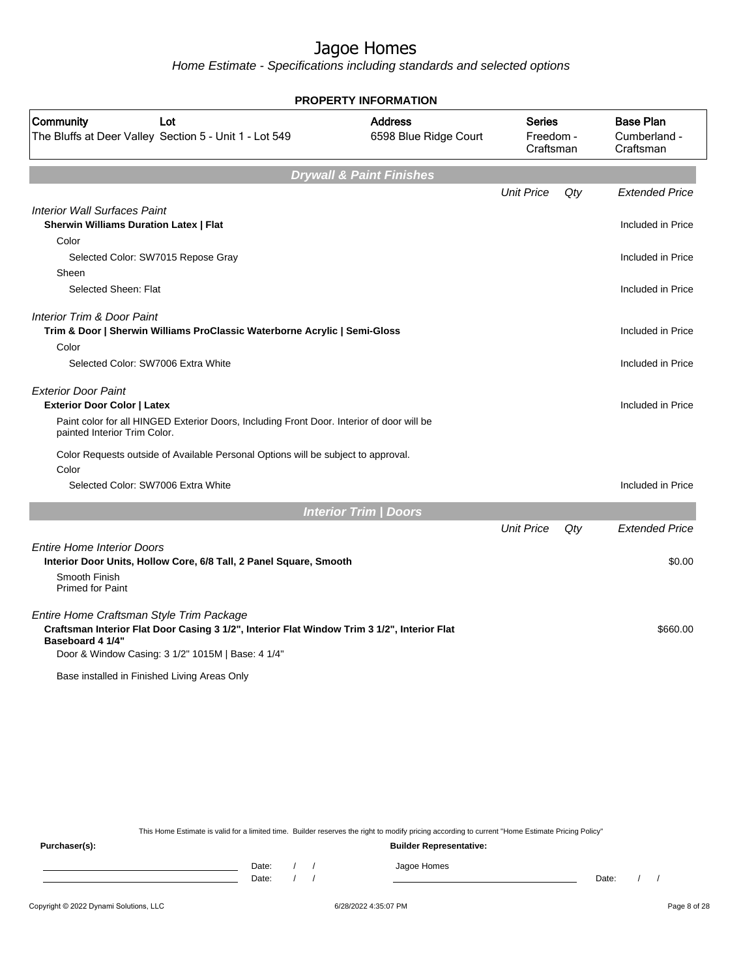Home Estimate - Specifications including standards and selected options

| <b>PROPERTY INFORMATION</b>                                                                                                                                                                                      |                                         |                                         |           |                                               |  |
|------------------------------------------------------------------------------------------------------------------------------------------------------------------------------------------------------------------|-----------------------------------------|-----------------------------------------|-----------|-----------------------------------------------|--|
| Community<br>Lot<br>The Bluffs at Deer Valley Section 5 - Unit 1 - Lot 549                                                                                                                                       | <b>Address</b><br>6598 Blue Ridge Court | <b>Series</b><br>Freedom -<br>Craftsman |           | <b>Base Plan</b><br>Cumberland -<br>Craftsman |  |
|                                                                                                                                                                                                                  | <b>Drywall &amp; Paint Finishes</b>     |                                         |           |                                               |  |
|                                                                                                                                                                                                                  |                                         | <b>Unit Price</b>                       | Qty       | <b>Extended Price</b>                         |  |
| <b>Interior Wall Surfaces Paint</b><br><b>Sherwin Williams Duration Latex   Flat</b>                                                                                                                             |                                         |                                         |           | Included in Price                             |  |
| Color                                                                                                                                                                                                            |                                         |                                         |           |                                               |  |
| Selected Color: SW7015 Repose Gray                                                                                                                                                                               |                                         |                                         |           | Included in Price                             |  |
| Sheen                                                                                                                                                                                                            |                                         |                                         |           |                                               |  |
| Selected Sheen: Flat                                                                                                                                                                                             |                                         |                                         |           | Included in Price                             |  |
| Interior Trim & Door Paint<br>Trim & Door   Sherwin Williams ProClassic Waterborne Acrylic   Semi-Gloss                                                                                                          |                                         |                                         |           | Included in Price                             |  |
| Color                                                                                                                                                                                                            |                                         |                                         |           |                                               |  |
| Selected Color: SW7006 Extra White                                                                                                                                                                               |                                         |                                         |           | Included in Price                             |  |
| <b>Exterior Door Paint</b>                                                                                                                                                                                       |                                         |                                         |           |                                               |  |
| <b>Exterior Door Color   Latex</b>                                                                                                                                                                               |                                         |                                         |           | Included in Price                             |  |
| Paint color for all HINGED Exterior Doors, Including Front Door. Interior of door will be<br>painted Interior Trim Color.                                                                                        |                                         |                                         |           |                                               |  |
| Color Requests outside of Available Personal Options will be subject to approval.                                                                                                                                |                                         |                                         |           |                                               |  |
| Color                                                                                                                                                                                                            |                                         |                                         |           |                                               |  |
| Selected Color: SW7006 Extra White                                                                                                                                                                               |                                         |                                         |           | Included in Price                             |  |
|                                                                                                                                                                                                                  | <b>Interior Trim / Doors</b>            |                                         |           |                                               |  |
|                                                                                                                                                                                                                  |                                         | <b>Unit Price</b>                       | $Q$ t $V$ | <b>Extended Price</b>                         |  |
| <b>Entire Home Interior Doors</b><br>Interior Door Units, Hollow Core, 6/8 Tall, 2 Panel Square, Smooth<br>Smooth Finish                                                                                         |                                         |                                         |           | \$0.00                                        |  |
| <b>Primed for Paint</b>                                                                                                                                                                                          |                                         |                                         |           |                                               |  |
| Entire Home Craftsman Style Trim Package<br>Craftsman Interior Flat Door Casing 3 1/2", Interior Flat Window Trim 3 1/2", Interior Flat<br>Baseboard 4 1/4"<br>Door & Window Casing: 3 1/2" 1015M   Base: 4 1/4" |                                         |                                         |           | \$660.00                                      |  |
| Base installed in Finished Living Areas Only                                                                                                                                                                     |                                         |                                         |           |                                               |  |

This Home Estimate is valid for a limited time. Builder reserves the right to modify pricing according to current "Home Estimate Pricing Policy"

**Purchaser(s): Builder Representative:** Date: / / Jagoe Homes<br>Date: / / Jagoe Homes Date: / / **Date: / / 2006** Date: / / / Date: / / / Date: / / / 2006 Date: / / / 2006 Date: / / / 2006 Date: / / / 2006 Date: / / / 2007 Date: / / / 2007 Date: / / / 2007 Date: / / / 2007 Date: / / / 2007 Date: / / / 2007 D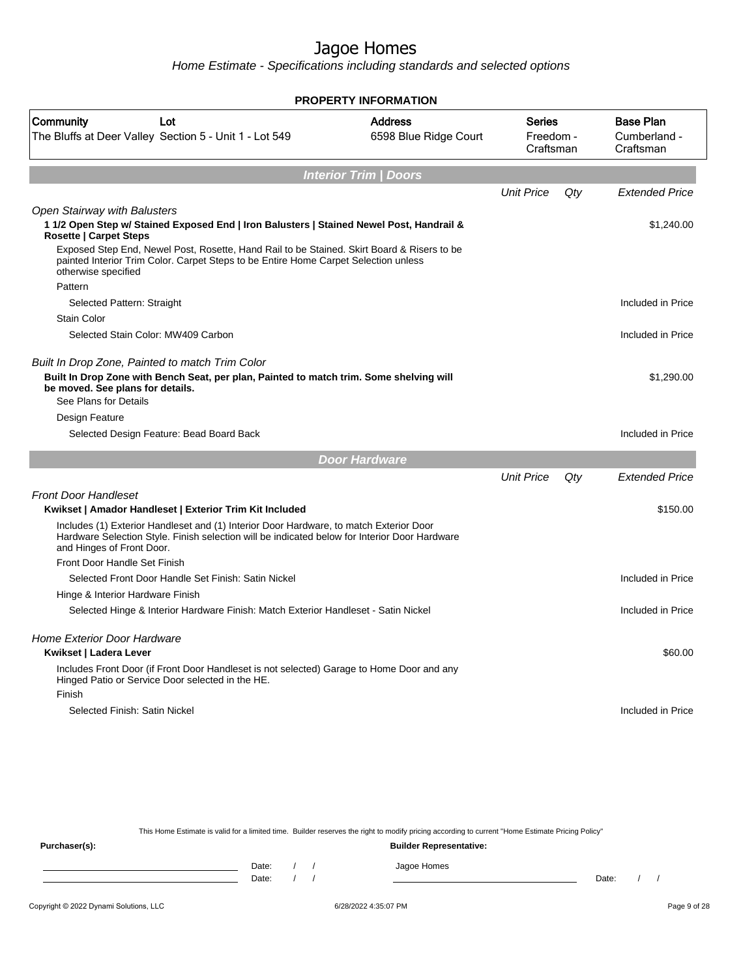Home Estimate - Specifications including standards and selected options

| <b>PROPERTY INFORMATION</b>                                                                                                                                                                                          |                                         |                                         |     |                                               |  |  |
|----------------------------------------------------------------------------------------------------------------------------------------------------------------------------------------------------------------------|-----------------------------------------|-----------------------------------------|-----|-----------------------------------------------|--|--|
| Community<br>Lot<br>The Bluffs at Deer Valley Section 5 - Unit 1 - Lot 549                                                                                                                                           | <b>Address</b><br>6598 Blue Ridge Court | <b>Series</b><br>Freedom -<br>Craftsman |     | <b>Base Plan</b><br>Cumberland -<br>Craftsman |  |  |
|                                                                                                                                                                                                                      | <b>Interior Trim / Doors</b>            |                                         |     |                                               |  |  |
|                                                                                                                                                                                                                      |                                         | <b>Unit Price</b>                       | Qty | <b>Extended Price</b>                         |  |  |
| <b>Open Stairway with Balusters</b><br>1 1/2 Open Step w/ Stained Exposed End   Iron Balusters   Stained Newel Post, Handrail &<br><b>Rosette   Carpet Steps</b>                                                     |                                         |                                         |     | \$1,240.00                                    |  |  |
| Exposed Step End, Newel Post, Rosette, Hand Rail to be Stained. Skirt Board & Risers to be<br>painted Interior Trim Color. Carpet Steps to be Entire Home Carpet Selection unless<br>otherwise specified             |                                         |                                         |     |                                               |  |  |
| Pattern                                                                                                                                                                                                              |                                         |                                         |     |                                               |  |  |
| Selected Pattern: Straight                                                                                                                                                                                           |                                         |                                         |     | Included in Price                             |  |  |
| <b>Stain Color</b>                                                                                                                                                                                                   |                                         |                                         |     |                                               |  |  |
| Selected Stain Color: MW409 Carbon                                                                                                                                                                                   |                                         |                                         |     | Included in Price                             |  |  |
| Built In Drop Zone, Painted to match Trim Color<br>Built In Drop Zone with Bench Seat, per plan, Painted to match trim. Some shelving will<br>be moved. See plans for details.                                       |                                         |                                         |     | \$1,290.00                                    |  |  |
| See Plans for Details                                                                                                                                                                                                |                                         |                                         |     |                                               |  |  |
| Design Feature                                                                                                                                                                                                       |                                         |                                         |     |                                               |  |  |
| Selected Design Feature: Bead Board Back                                                                                                                                                                             |                                         |                                         |     | Included in Price                             |  |  |
|                                                                                                                                                                                                                      | <b>Door Hardware</b>                    |                                         |     |                                               |  |  |
|                                                                                                                                                                                                                      |                                         | <b>Unit Price</b>                       | Qty | <b>Extended Price</b>                         |  |  |
| <b>Front Door Handleset</b>                                                                                                                                                                                          |                                         |                                         |     |                                               |  |  |
| Kwikset   Amador Handleset   Exterior Trim Kit Included                                                                                                                                                              |                                         |                                         |     | \$150.00                                      |  |  |
| Includes (1) Exterior Handleset and (1) Interior Door Hardware, to match Exterior Door<br>Hardware Selection Style. Finish selection will be indicated below for Interior Door Hardware<br>and Hinges of Front Door. |                                         |                                         |     |                                               |  |  |
| Front Door Handle Set Finish                                                                                                                                                                                         |                                         |                                         |     |                                               |  |  |
| Selected Front Door Handle Set Finish: Satin Nickel                                                                                                                                                                  |                                         |                                         |     | Included in Price                             |  |  |
| Hinge & Interior Hardware Finish                                                                                                                                                                                     |                                         |                                         |     |                                               |  |  |
| Selected Hinge & Interior Hardware Finish: Match Exterior Handleset - Satin Nickel                                                                                                                                   |                                         |                                         |     | Included in Price                             |  |  |
| <b>Home Exterior Door Hardware</b><br>Kwikset   Ladera Lever                                                                                                                                                         |                                         |                                         |     | \$60.00                                       |  |  |
| Includes Front Door (if Front Door Handleset is not selected) Garage to Home Door and any<br>Hinged Patio or Service Door selected in the HE.<br>Finish                                                              |                                         |                                         |     |                                               |  |  |
| Selected Finish: Satin Nickel                                                                                                                                                                                        |                                         |                                         |     | Included in Price                             |  |  |

This Home Estimate is valid for a limited time. Builder reserves the right to modify pricing according to current "Home Estimate Pricing Policy" **Purchaser(s): Builder Representative:** Date: / / Jagoe Homes<br>Date: / / Jagoe Homes Date: / / **Date: / / 2006** Date: / / / Date: / / / Date: / / / 2006 Date: / / / 2006 Date: / / / 2006 Date: / / / 2006 Date: / / / 2007 Date: / / / 2007 Date: / / / 2007 Date: / / / 2007 Date: / / / 2007 Date: / / / 2007 D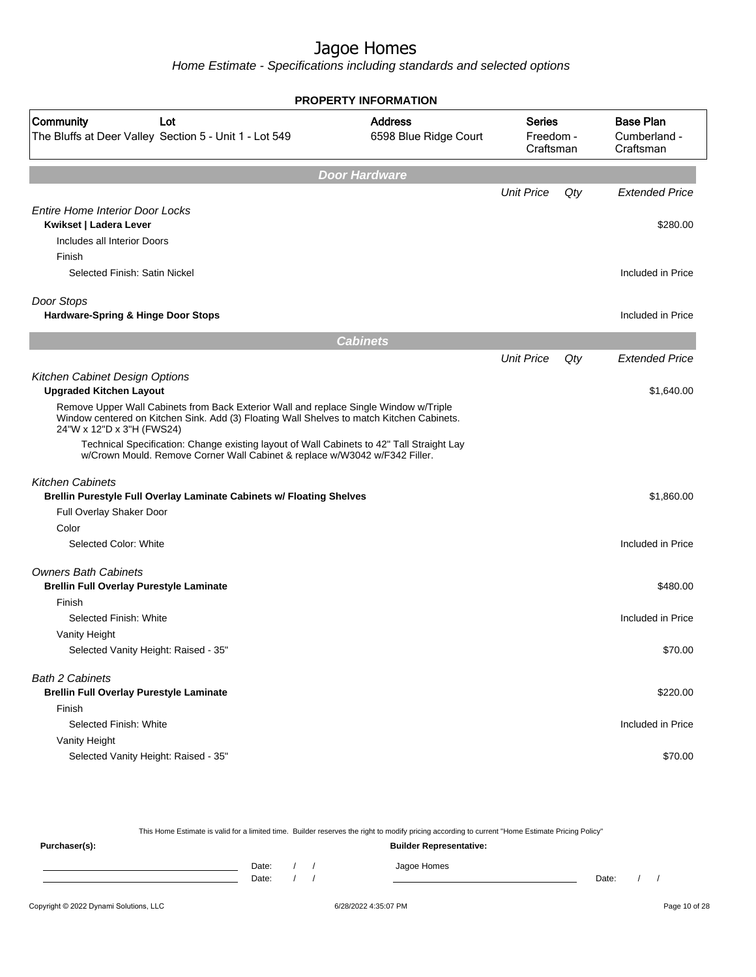Home Estimate - Specifications including standards and selected options

|                                                                                                                                                                                                                 | <b>PROPERTY INFORMATION</b>                                                        |                   |     |                                               |
|-----------------------------------------------------------------------------------------------------------------------------------------------------------------------------------------------------------------|------------------------------------------------------------------------------------|-------------------|-----|-----------------------------------------------|
| Community<br>Lot<br>The Bluffs at Deer Valley Section 5 - Unit 1 - Lot 549                                                                                                                                      | <b>Address</b><br><b>Series</b><br>6598 Blue Ridge Court<br>Freedom -<br>Craftsman |                   |     | <b>Base Plan</b><br>Cumberland -<br>Craftsman |
|                                                                                                                                                                                                                 | <b>Door Hardware</b>                                                               |                   |     |                                               |
|                                                                                                                                                                                                                 |                                                                                    | <b>Unit Price</b> | Qty | <b>Extended Price</b>                         |
| <b>Entire Home Interior Door Locks</b><br>Kwikset   Ladera Lever<br>Includes all Interior Doors                                                                                                                 |                                                                                    |                   |     | \$280.00                                      |
| Finish<br>Selected Finish: Satin Nickel                                                                                                                                                                         |                                                                                    |                   |     | Included in Price                             |
| Door Stops<br>Hardware-Spring & Hinge Door Stops                                                                                                                                                                |                                                                                    |                   |     | Included in Price                             |
|                                                                                                                                                                                                                 | <b>Cabinets</b>                                                                    |                   |     |                                               |
|                                                                                                                                                                                                                 |                                                                                    | <b>Unit Price</b> | Qty | Extended Price                                |
| Kitchen Cabinet Design Options<br><b>Upgraded Kitchen Layout</b>                                                                                                                                                |                                                                                    |                   |     | \$1,640.00                                    |
| Remove Upper Wall Cabinets from Back Exterior Wall and replace Single Window w/Triple<br>Window centered on Kitchen Sink. Add (3) Floating Wall Shelves to match Kitchen Cabinets.<br>24"W x 12"D x 3"H (FWS24) |                                                                                    |                   |     |                                               |
| Technical Specification: Change existing layout of Wall Cabinets to 42" Tall Straight Lay<br>w/Crown Mould. Remove Corner Wall Cabinet & replace w/W3042 w/F342 Filler.                                         |                                                                                    |                   |     |                                               |
| <b>Kitchen Cabinets</b><br>Brellin Purestyle Full Overlay Laminate Cabinets w/ Floating Shelves                                                                                                                 |                                                                                    |                   |     | \$1,860.00                                    |
| Full Overlay Shaker Door                                                                                                                                                                                        |                                                                                    |                   |     |                                               |
| Color                                                                                                                                                                                                           |                                                                                    |                   |     |                                               |
| Selected Color: White                                                                                                                                                                                           |                                                                                    |                   |     | Included in Price                             |
| <b>Owners Bath Cabinets</b><br><b>Brellin Full Overlay Purestyle Laminate</b>                                                                                                                                   |                                                                                    |                   |     | \$480.00                                      |
| Finish                                                                                                                                                                                                          |                                                                                    |                   |     |                                               |
| Selected Finish: White                                                                                                                                                                                          |                                                                                    |                   |     | Included in Price                             |
| Vanity Height<br>Selected Vanity Height: Raised - 35"                                                                                                                                                           |                                                                                    |                   |     | \$70.00                                       |
| <b>Bath 2 Cabinets</b><br><b>Brellin Full Overlay Purestyle Laminate</b>                                                                                                                                        |                                                                                    |                   |     | \$220.00                                      |
| Finish                                                                                                                                                                                                          |                                                                                    |                   |     |                                               |
| Selected Finish: White<br>Vanity Height                                                                                                                                                                         |                                                                                    |                   |     | Included in Price                             |
| Selected Vanity Height: Raised - 35"                                                                                                                                                                            |                                                                                    |                   |     | \$70.00                                       |

This Home Estimate is valid for a limited time. Builder reserves the right to modify pricing according to current "Home Estimate Pricing Policy" **Purchaser(s): Builder Representative:** Date: / / Jagoe Homes<br>Date: / / Jagoe Homes Date: / / Date: / /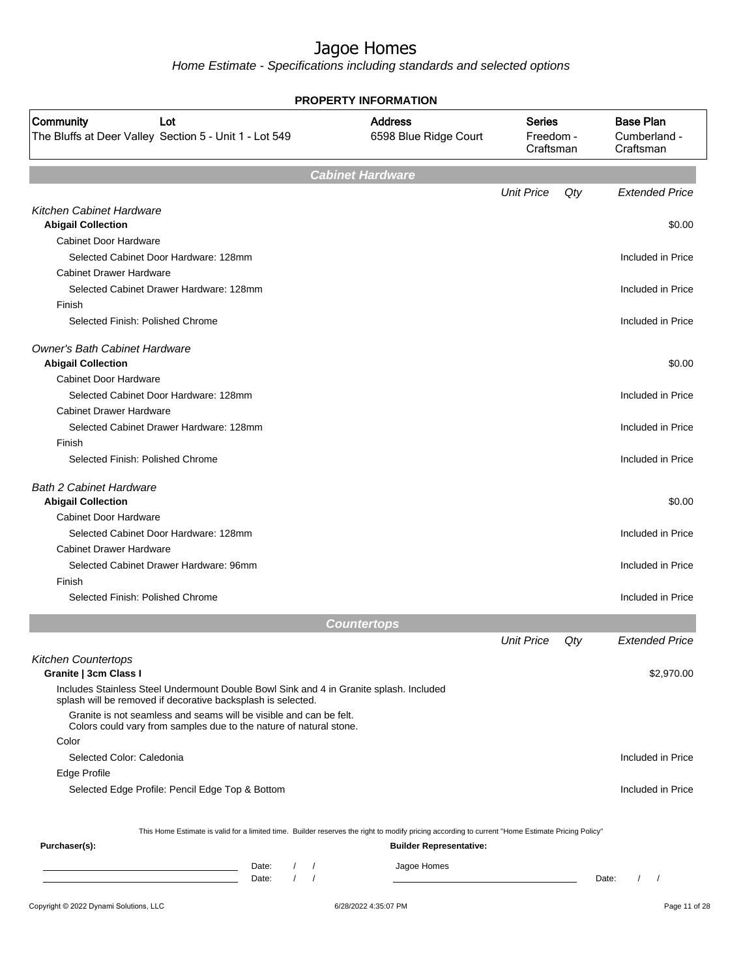| PROPERTY INFORMATION                                                                                                                                   |                                         |                                         |     |                                               |  |  |
|--------------------------------------------------------------------------------------------------------------------------------------------------------|-----------------------------------------|-----------------------------------------|-----|-----------------------------------------------|--|--|
| Community<br>Lot<br>The Bluffs at Deer Valley Section 5 - Unit 1 - Lot 549                                                                             | <b>Address</b><br>6598 Blue Ridge Court | <b>Series</b><br>Freedom -<br>Craftsman |     | <b>Base Plan</b><br>Cumberland -<br>Craftsman |  |  |
|                                                                                                                                                        | <b>Cabinet Hardware</b>                 |                                         |     |                                               |  |  |
|                                                                                                                                                        |                                         | <b>Unit Price</b>                       | Qty | <b>Extended Price</b>                         |  |  |
| <b>Kitchen Cabinet Hardware</b>                                                                                                                        |                                         |                                         |     |                                               |  |  |
| <b>Abigail Collection</b>                                                                                                                              |                                         |                                         |     | \$0.00                                        |  |  |
| <b>Cabinet Door Hardware</b>                                                                                                                           |                                         |                                         |     |                                               |  |  |
| Selected Cabinet Door Hardware: 128mm                                                                                                                  |                                         |                                         |     | Included in Price                             |  |  |
| <b>Cabinet Drawer Hardware</b>                                                                                                                         |                                         |                                         |     |                                               |  |  |
| Selected Cabinet Drawer Hardware: 128mm                                                                                                                |                                         |                                         |     | Included in Price                             |  |  |
| Finish                                                                                                                                                 |                                         |                                         |     |                                               |  |  |
| Selected Finish: Polished Chrome                                                                                                                       |                                         |                                         |     | Included in Price                             |  |  |
| <b>Owner's Bath Cabinet Hardware</b>                                                                                                                   |                                         |                                         |     |                                               |  |  |
| <b>Abigail Collection</b>                                                                                                                              |                                         |                                         |     | \$0.00                                        |  |  |
| Cabinet Door Hardware                                                                                                                                  |                                         |                                         |     |                                               |  |  |
| Selected Cabinet Door Hardware: 128mm                                                                                                                  |                                         |                                         |     | Included in Price                             |  |  |
| <b>Cabinet Drawer Hardware</b>                                                                                                                         |                                         |                                         |     |                                               |  |  |
| Selected Cabinet Drawer Hardware: 128mm                                                                                                                |                                         |                                         |     | Included in Price                             |  |  |
| Finish                                                                                                                                                 |                                         |                                         |     |                                               |  |  |
| Selected Finish: Polished Chrome                                                                                                                       |                                         |                                         |     | Included in Price                             |  |  |
| <b>Bath 2 Cabinet Hardware</b><br><b>Abigail Collection</b>                                                                                            |                                         |                                         |     | \$0.00                                        |  |  |
| <b>Cabinet Door Hardware</b>                                                                                                                           |                                         |                                         |     |                                               |  |  |
| Selected Cabinet Door Hardware: 128mm                                                                                                                  |                                         |                                         |     | Included in Price                             |  |  |
| <b>Cabinet Drawer Hardware</b>                                                                                                                         |                                         |                                         |     |                                               |  |  |
| Selected Cabinet Drawer Hardware: 96mm                                                                                                                 |                                         |                                         |     | Included in Price                             |  |  |
| Finish                                                                                                                                                 |                                         |                                         |     |                                               |  |  |
| Selected Finish: Polished Chrome                                                                                                                       |                                         |                                         |     | Included in Price                             |  |  |
|                                                                                                                                                        | <b>Countertops</b>                      |                                         |     |                                               |  |  |
|                                                                                                                                                        |                                         | <b>Unit Price</b>                       | Qty | <b>Extended Price</b>                         |  |  |
| <b>Kitchen Countertops</b><br>Granite   3cm Class I                                                                                                    |                                         |                                         |     | \$2,970.00                                    |  |  |
| Includes Stainless Steel Undermount Double Bowl Sink and 4 in Granite splash. Included<br>splash will be removed if decorative backsplash is selected. |                                         |                                         |     |                                               |  |  |
| Granite is not seamless and seams will be visible and can be felt.                                                                                     |                                         |                                         |     |                                               |  |  |
| Colors could vary from samples due to the nature of natural stone.<br>Color                                                                            |                                         |                                         |     |                                               |  |  |
| Selected Color: Caledonia                                                                                                                              |                                         |                                         |     |                                               |  |  |
|                                                                                                                                                        |                                         |                                         |     | Included in Price                             |  |  |
| Edge Profile                                                                                                                                           |                                         |                                         |     |                                               |  |  |
| Selected Edge Profile: Pencil Edge Top & Bottom                                                                                                        |                                         |                                         |     | Included in Price                             |  |  |
| This Home Estimate is valid for a limited time. Builder reserves the right to modify pricing according to current "Home Estimate Pricing Policy"       |                                         |                                         |     |                                               |  |  |
| Purchaser(s):                                                                                                                                          | <b>Builder Representative:</b>          |                                         |     |                                               |  |  |
| Date:<br>$\left  \right $                                                                                                                              | Jagoe Homes                             |                                         |     |                                               |  |  |
| $1 \quad 1$<br>Date:                                                                                                                                   |                                         |                                         |     | Date:<br>$\left  \quad \right $               |  |  |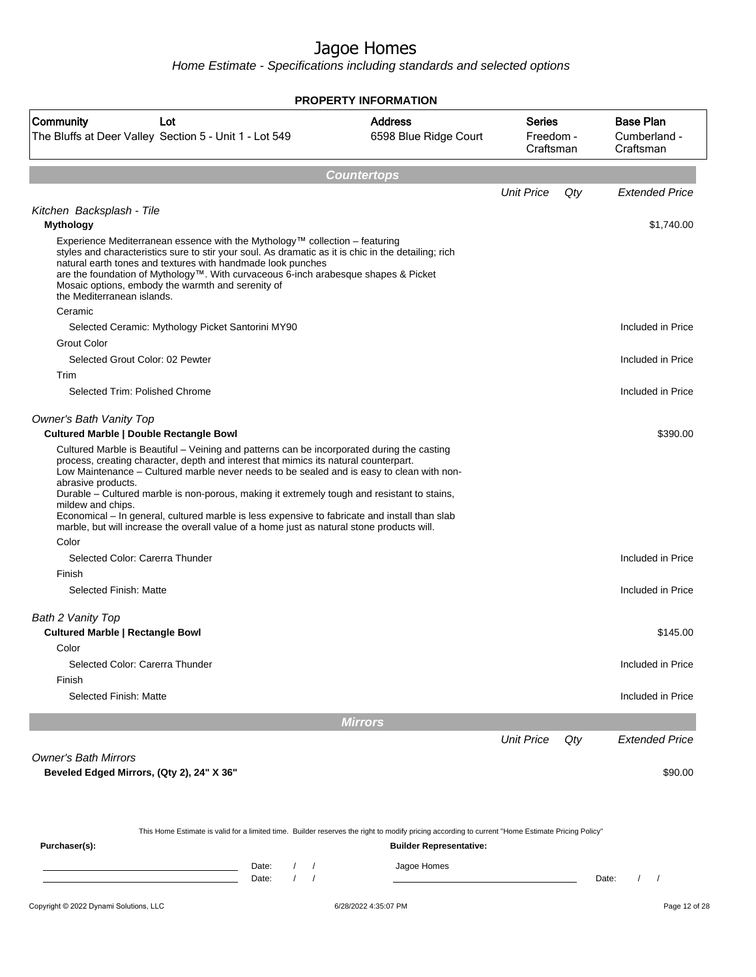| <b>Address</b><br><b>Base Plan</b><br><b>Community</b><br><b>Series</b><br>Lot<br>The Bluffs at Deer Valley Section 5 - Unit 1 - Lot 549<br>6598 Blue Ridge Court<br>Freedom -<br>Craftsman<br>Craftsman<br><b>Countertops</b><br><b>Unit Price</b><br>Qty<br>Kitchen Backsplash - Tile<br><b>Mythology</b><br>Experience Mediterranean essence with the Mythology™ collection – featuring<br>styles and characteristics sure to stir your soul. As dramatic as it is chic in the detailing; rich<br>natural earth tones and textures with handmade look punches<br>are the foundation of Mythology™. With curvaceous 6-inch arabesque shapes & Picket<br>Mosaic options, embody the warmth and serenity of<br>the Mediterranean islands.<br>Ceramic<br>Selected Ceramic: Mythology Picket Santorini MY90<br>Included in Price<br>Grout Color<br>Selected Grout Color: 02 Pewter<br>Trim<br>Selected Trim: Polished Chrome<br><b>Owner's Bath Vanity Top</b><br><b>Cultured Marble   Double Rectangle Bowl</b><br>\$390.00<br>Cultured Marble is Beautiful – Veining and patterns can be incorporated during the casting<br>process, creating character, depth and interest that mimics its natural counterpart.<br>Low Maintenance - Cultured marble never needs to be sealed and is easy to clean with non-<br>abrasive products.<br>Durable - Cultured marble is non-porous, making it extremely tough and resistant to stains,<br>mildew and chips.<br>Economical – In general, cultured marble is less expensive to fabricate and install than slab<br>marble, but will increase the overall value of a home just as natural stone products will.<br>Color<br>Selected Color: Carerra Thunder<br>Finish<br>Selected Finish: Matte<br>Bath 2 Vanity Top<br><b>Cultured Marble   Rectangle Bowl</b><br>Color<br>Selected Color: Carerra Thunder<br>Finish<br>Selected Finish: Matte<br><b>Mirrors</b><br><b>Unit Price</b><br>Qty<br><b>Owner's Bath Mirrors</b><br>Beveled Edged Mirrors, (Qty 2), 24" X 36" | <b>PROPERTY INFORMATION</b> |  |                       |
|------------------------------------------------------------------------------------------------------------------------------------------------------------------------------------------------------------------------------------------------------------------------------------------------------------------------------------------------------------------------------------------------------------------------------------------------------------------------------------------------------------------------------------------------------------------------------------------------------------------------------------------------------------------------------------------------------------------------------------------------------------------------------------------------------------------------------------------------------------------------------------------------------------------------------------------------------------------------------------------------------------------------------------------------------------------------------------------------------------------------------------------------------------------------------------------------------------------------------------------------------------------------------------------------------------------------------------------------------------------------------------------------------------------------------------------------------------------------------------------------------------------------------------------------------------------------------------------------------------------------------------------------------------------------------------------------------------------------------------------------------------------------------------------------------------------------------------------------------------------------------------------------------------------------------------------------------------------------------------------------------------------|-----------------------------|--|-----------------------|
|                                                                                                                                                                                                                                                                                                                                                                                                                                                                                                                                                                                                                                                                                                                                                                                                                                                                                                                                                                                                                                                                                                                                                                                                                                                                                                                                                                                                                                                                                                                                                                                                                                                                                                                                                                                                                                                                                                                                                                                                                  |                             |  | Cumberland -          |
|                                                                                                                                                                                                                                                                                                                                                                                                                                                                                                                                                                                                                                                                                                                                                                                                                                                                                                                                                                                                                                                                                                                                                                                                                                                                                                                                                                                                                                                                                                                                                                                                                                                                                                                                                                                                                                                                                                                                                                                                                  |                             |  |                       |
|                                                                                                                                                                                                                                                                                                                                                                                                                                                                                                                                                                                                                                                                                                                                                                                                                                                                                                                                                                                                                                                                                                                                                                                                                                                                                                                                                                                                                                                                                                                                                                                                                                                                                                                                                                                                                                                                                                                                                                                                                  |                             |  | <b>Extended Price</b> |
|                                                                                                                                                                                                                                                                                                                                                                                                                                                                                                                                                                                                                                                                                                                                                                                                                                                                                                                                                                                                                                                                                                                                                                                                                                                                                                                                                                                                                                                                                                                                                                                                                                                                                                                                                                                                                                                                                                                                                                                                                  |                             |  | \$1,740.00            |
|                                                                                                                                                                                                                                                                                                                                                                                                                                                                                                                                                                                                                                                                                                                                                                                                                                                                                                                                                                                                                                                                                                                                                                                                                                                                                                                                                                                                                                                                                                                                                                                                                                                                                                                                                                                                                                                                                                                                                                                                                  |                             |  |                       |
|                                                                                                                                                                                                                                                                                                                                                                                                                                                                                                                                                                                                                                                                                                                                                                                                                                                                                                                                                                                                                                                                                                                                                                                                                                                                                                                                                                                                                                                                                                                                                                                                                                                                                                                                                                                                                                                                                                                                                                                                                  |                             |  |                       |
|                                                                                                                                                                                                                                                                                                                                                                                                                                                                                                                                                                                                                                                                                                                                                                                                                                                                                                                                                                                                                                                                                                                                                                                                                                                                                                                                                                                                                                                                                                                                                                                                                                                                                                                                                                                                                                                                                                                                                                                                                  |                             |  |                       |
|                                                                                                                                                                                                                                                                                                                                                                                                                                                                                                                                                                                                                                                                                                                                                                                                                                                                                                                                                                                                                                                                                                                                                                                                                                                                                                                                                                                                                                                                                                                                                                                                                                                                                                                                                                                                                                                                                                                                                                                                                  |                             |  | Included in Price     |
|                                                                                                                                                                                                                                                                                                                                                                                                                                                                                                                                                                                                                                                                                                                                                                                                                                                                                                                                                                                                                                                                                                                                                                                                                                                                                                                                                                                                                                                                                                                                                                                                                                                                                                                                                                                                                                                                                                                                                                                                                  |                             |  | Included in Price     |
|                                                                                                                                                                                                                                                                                                                                                                                                                                                                                                                                                                                                                                                                                                                                                                                                                                                                                                                                                                                                                                                                                                                                                                                                                                                                                                                                                                                                                                                                                                                                                                                                                                                                                                                                                                                                                                                                                                                                                                                                                  |                             |  |                       |
|                                                                                                                                                                                                                                                                                                                                                                                                                                                                                                                                                                                                                                                                                                                                                                                                                                                                                                                                                                                                                                                                                                                                                                                                                                                                                                                                                                                                                                                                                                                                                                                                                                                                                                                                                                                                                                                                                                                                                                                                                  |                             |  |                       |
|                                                                                                                                                                                                                                                                                                                                                                                                                                                                                                                                                                                                                                                                                                                                                                                                                                                                                                                                                                                                                                                                                                                                                                                                                                                                                                                                                                                                                                                                                                                                                                                                                                                                                                                                                                                                                                                                                                                                                                                                                  |                             |  | Included in Price     |
|                                                                                                                                                                                                                                                                                                                                                                                                                                                                                                                                                                                                                                                                                                                                                                                                                                                                                                                                                                                                                                                                                                                                                                                                                                                                                                                                                                                                                                                                                                                                                                                                                                                                                                                                                                                                                                                                                                                                                                                                                  |                             |  | Included in Price     |
|                                                                                                                                                                                                                                                                                                                                                                                                                                                                                                                                                                                                                                                                                                                                                                                                                                                                                                                                                                                                                                                                                                                                                                                                                                                                                                                                                                                                                                                                                                                                                                                                                                                                                                                                                                                                                                                                                                                                                                                                                  |                             |  |                       |
|                                                                                                                                                                                                                                                                                                                                                                                                                                                                                                                                                                                                                                                                                                                                                                                                                                                                                                                                                                                                                                                                                                                                                                                                                                                                                                                                                                                                                                                                                                                                                                                                                                                                                                                                                                                                                                                                                                                                                                                                                  |                             |  | \$145.00              |
|                                                                                                                                                                                                                                                                                                                                                                                                                                                                                                                                                                                                                                                                                                                                                                                                                                                                                                                                                                                                                                                                                                                                                                                                                                                                                                                                                                                                                                                                                                                                                                                                                                                                                                                                                                                                                                                                                                                                                                                                                  |                             |  |                       |
|                                                                                                                                                                                                                                                                                                                                                                                                                                                                                                                                                                                                                                                                                                                                                                                                                                                                                                                                                                                                                                                                                                                                                                                                                                                                                                                                                                                                                                                                                                                                                                                                                                                                                                                                                                                                                                                                                                                                                                                                                  |                             |  | Included in Price     |
|                                                                                                                                                                                                                                                                                                                                                                                                                                                                                                                                                                                                                                                                                                                                                                                                                                                                                                                                                                                                                                                                                                                                                                                                                                                                                                                                                                                                                                                                                                                                                                                                                                                                                                                                                                                                                                                                                                                                                                                                                  |                             |  | Included in Price     |
|                                                                                                                                                                                                                                                                                                                                                                                                                                                                                                                                                                                                                                                                                                                                                                                                                                                                                                                                                                                                                                                                                                                                                                                                                                                                                                                                                                                                                                                                                                                                                                                                                                                                                                                                                                                                                                                                                                                                                                                                                  |                             |  |                       |
|                                                                                                                                                                                                                                                                                                                                                                                                                                                                                                                                                                                                                                                                                                                                                                                                                                                                                                                                                                                                                                                                                                                                                                                                                                                                                                                                                                                                                                                                                                                                                                                                                                                                                                                                                                                                                                                                                                                                                                                                                  |                             |  | <b>Extended Price</b> |
|                                                                                                                                                                                                                                                                                                                                                                                                                                                                                                                                                                                                                                                                                                                                                                                                                                                                                                                                                                                                                                                                                                                                                                                                                                                                                                                                                                                                                                                                                                                                                                                                                                                                                                                                                                                                                                                                                                                                                                                                                  |                             |  |                       |
|                                                                                                                                                                                                                                                                                                                                                                                                                                                                                                                                                                                                                                                                                                                                                                                                                                                                                                                                                                                                                                                                                                                                                                                                                                                                                                                                                                                                                                                                                                                                                                                                                                                                                                                                                                                                                                                                                                                                                                                                                  |                             |  | \$90.00               |
| This Home Estimate is valid for a limited time. Builder reserves the right to modify pricing according to current "Home Estimate Pricing Policy"                                                                                                                                                                                                                                                                                                                                                                                                                                                                                                                                                                                                                                                                                                                                                                                                                                                                                                                                                                                                                                                                                                                                                                                                                                                                                                                                                                                                                                                                                                                                                                                                                                                                                                                                                                                                                                                                 |                             |  |                       |
| Purchaser(s):<br><b>Builder Representative:</b>                                                                                                                                                                                                                                                                                                                                                                                                                                                                                                                                                                                                                                                                                                                                                                                                                                                                                                                                                                                                                                                                                                                                                                                                                                                                                                                                                                                                                                                                                                                                                                                                                                                                                                                                                                                                                                                                                                                                                                  |                             |  |                       |
| Jagoe Homes<br>Date:<br>Date:<br>$\prime$<br>Date:<br>$\prime$<br>$\sqrt{2}$                                                                                                                                                                                                                                                                                                                                                                                                                                                                                                                                                                                                                                                                                                                                                                                                                                                                                                                                                                                                                                                                                                                                                                                                                                                                                                                                                                                                                                                                                                                                                                                                                                                                                                                                                                                                                                                                                                                                     |                             |  |                       |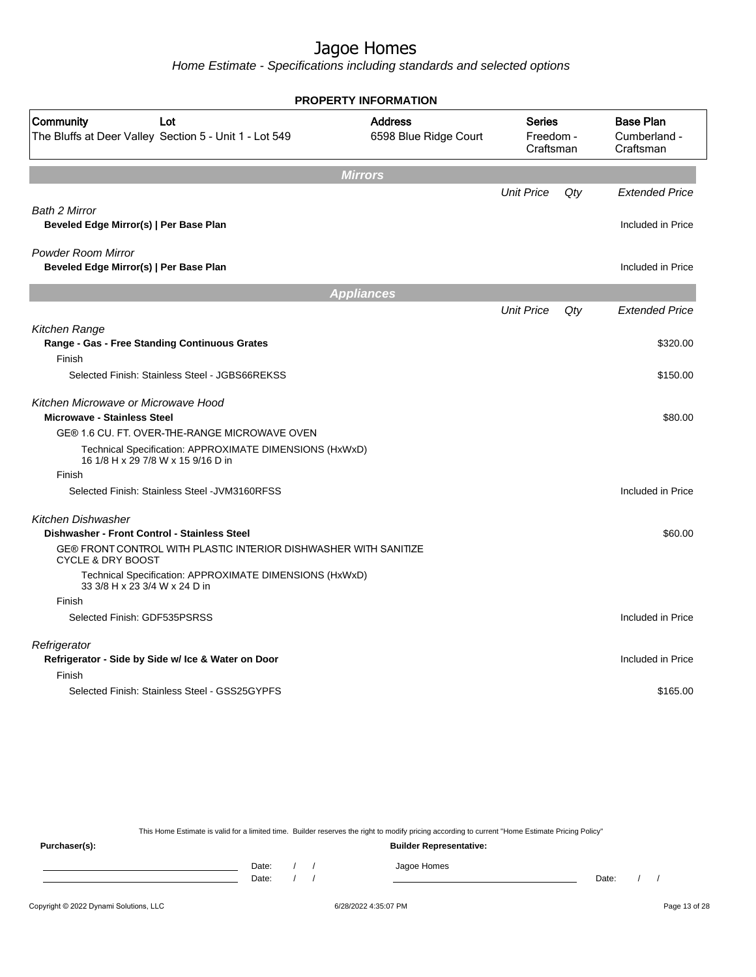Home Estimate - Specifications including standards and selected options

|                                                                                                  | <b>PROPERTY INFORMATION</b>             |                                         |        |                                               |
|--------------------------------------------------------------------------------------------------|-----------------------------------------|-----------------------------------------|--------|-----------------------------------------------|
| Community<br>Lot<br>The Bluffs at Deer Valley Section 5 - Unit 1 - Lot 549                       | <b>Address</b><br>6598 Blue Ridge Court | <b>Series</b><br>Freedom -<br>Craftsman |        | <b>Base Plan</b><br>Cumberland -<br>Craftsman |
|                                                                                                  | <b>Mirrors</b>                          |                                         |        |                                               |
|                                                                                                  |                                         | <b>Unit Price</b>                       | $Q$ ty | <b>Extended Price</b>                         |
| Bath 2 Mirror<br>Beveled Edge Mirror(s)   Per Base Plan                                          |                                         |                                         |        | Included in Price                             |
| <b>Powder Room Mirror</b><br>Beveled Edge Mirror(s)   Per Base Plan                              |                                         |                                         |        | Included in Price                             |
|                                                                                                  | <b>Appliances</b>                       |                                         |        |                                               |
|                                                                                                  |                                         | <b>Unit Price</b>                       | Qty    | <b>Extended Price</b>                         |
| Kitchen Range<br>Range - Gas - Free Standing Continuous Grates                                   |                                         |                                         |        | \$320.00                                      |
| Finish<br>Selected Finish: Stainless Steel - JGBS66REKSS                                         |                                         |                                         |        | \$150.00                                      |
| Kitchen Microwave or Microwave Hood<br><b>Microwave - Stainless Steel</b>                        |                                         |                                         |        | \$80.00                                       |
| GE® 1.6 CU. FT. OVER-THE-RANGE MICROWAVE OVEN                                                    |                                         |                                         |        |                                               |
| Technical Specification: APPROXIMATE DIMENSIONS (HxWxD)<br>16 1/8 H x 29 7/8 W x 15 9/16 D in    |                                         |                                         |        |                                               |
| Finish                                                                                           |                                         |                                         |        |                                               |
| Selected Finish: Stainless Steel - JVM3160RFSS                                                   |                                         |                                         |        | Included in Price                             |
| <b>Kitchen Dishwasher</b><br>Dishwasher - Front Control - Stainless Steel                        |                                         |                                         |        | \$60.00                                       |
| GE® FRONT CONTROL WITH PLASTIC INTERIOR DISHWASHER WITH SANITIZE<br><b>CYCLE &amp; DRY BOOST</b> |                                         |                                         |        |                                               |
| Technical Specification: APPROXIMATE DIMENSIONS (HxWxD)<br>33 3/8 H x 23 3/4 W x 24 D in         |                                         |                                         |        |                                               |
| Finish                                                                                           |                                         |                                         |        |                                               |
| Selected Finish: GDF535PSRSS                                                                     |                                         |                                         |        | Included in Price                             |
| Refrigerator<br>Refrigerator - Side by Side w/ Ice & Water on Door                               |                                         |                                         |        | Included in Price                             |
| Finish                                                                                           |                                         |                                         |        |                                               |
| Selected Finish: Stainless Steel - GSS25GYPFS                                                    |                                         |                                         |        | \$165.00                                      |

This Home Estimate is valid for a limited time. Builder reserves the right to modify pricing according to current "Home Estimate Pricing Policy"

**Purchaser(s): Builder Representative:** Date: / / Jagoe Homes<br>Date: / / Jagoe Homes Date: / / Date: / /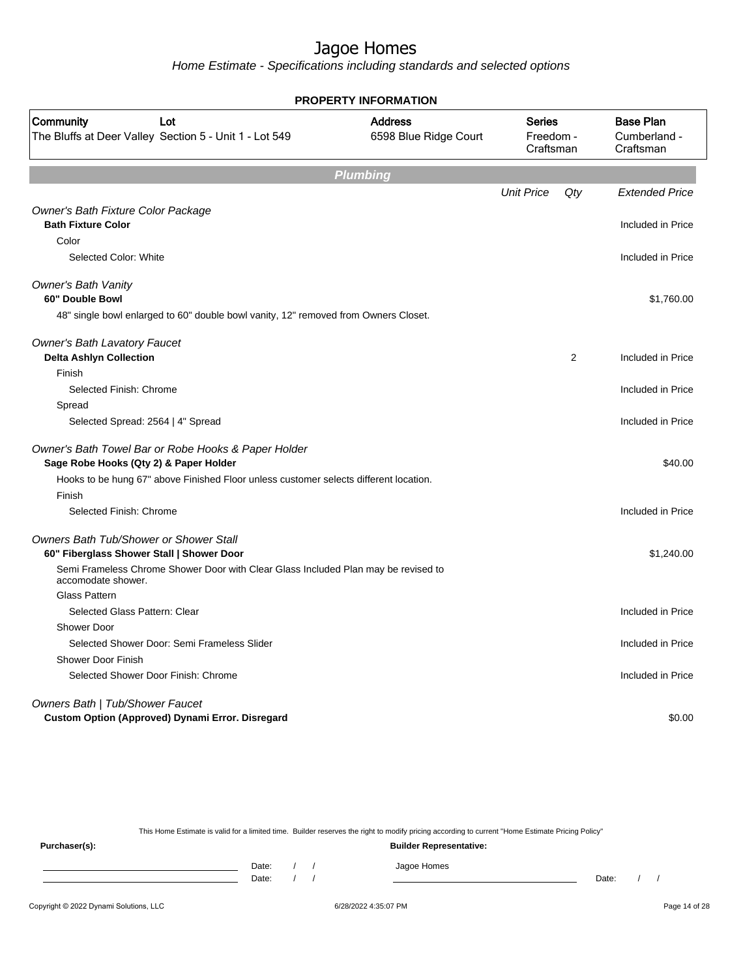Home Estimate - Specifications including standards and selected options

| <b>PROPERTY INFORMATION</b>                                                                              |                                         |                                         |     |                       |  |                                               |
|----------------------------------------------------------------------------------------------------------|-----------------------------------------|-----------------------------------------|-----|-----------------------|--|-----------------------------------------------|
| Community<br>Lot<br>The Bluffs at Deer Valley Section 5 - Unit 1 - Lot 549                               | <b>Address</b><br>6598 Blue Ridge Court | <b>Series</b><br>Freedom -<br>Craftsman |     |                       |  | <b>Base Plan</b><br>Cumberland -<br>Craftsman |
|                                                                                                          | <b>Plumbing</b>                         |                                         |     |                       |  |                                               |
|                                                                                                          |                                         | <b>Unit Price</b>                       | Qty | <b>Extended Price</b> |  |                                               |
| Owner's Bath Fixture Color Package                                                                       |                                         |                                         |     |                       |  |                                               |
| <b>Bath Fixture Color</b>                                                                                |                                         |                                         |     | Included in Price     |  |                                               |
| Color                                                                                                    |                                         |                                         |     |                       |  |                                               |
| Selected Color: White                                                                                    |                                         |                                         |     | Included in Price     |  |                                               |
| <b>Owner's Bath Vanity</b>                                                                               |                                         |                                         |     |                       |  |                                               |
| 60" Double Bowl                                                                                          |                                         |                                         |     | \$1,760.00            |  |                                               |
| 48" single bowl enlarged to 60" double bowl vanity, 12" removed from Owners Closet.                      |                                         |                                         |     |                       |  |                                               |
| <b>Owner's Bath Lavatory Faucet</b>                                                                      |                                         |                                         |     |                       |  |                                               |
| <b>Delta Ashlyn Collection</b>                                                                           |                                         |                                         | 2   | Included in Price     |  |                                               |
| Finish                                                                                                   |                                         |                                         |     |                       |  |                                               |
| Selected Finish: Chrome                                                                                  |                                         |                                         |     | Included in Price     |  |                                               |
| Spread                                                                                                   |                                         |                                         |     |                       |  |                                               |
| Selected Spread: 2564   4" Spread                                                                        |                                         |                                         |     | Included in Price     |  |                                               |
| Owner's Bath Towel Bar or Robe Hooks & Paper Holder<br>Sage Robe Hooks (Qty 2) & Paper Holder            |                                         |                                         |     | \$40.00               |  |                                               |
| Hooks to be hung 67" above Finished Floor unless customer selects different location.                    |                                         |                                         |     |                       |  |                                               |
| Finish                                                                                                   |                                         |                                         |     |                       |  |                                               |
| Selected Finish: Chrome                                                                                  |                                         |                                         |     | Included in Price     |  |                                               |
| Owners Bath Tub/Shower or Shower Stall                                                                   |                                         |                                         |     |                       |  |                                               |
| 60" Fiberglass Shower Stall   Shower Door                                                                |                                         |                                         |     | \$1,240.00            |  |                                               |
| Semi Frameless Chrome Shower Door with Clear Glass Included Plan may be revised to<br>accomodate shower. |                                         |                                         |     |                       |  |                                               |
| <b>Glass Pattern</b>                                                                                     |                                         |                                         |     |                       |  |                                               |
| Selected Glass Pattern: Clear                                                                            |                                         |                                         |     | Included in Price     |  |                                               |
| Shower Door                                                                                              |                                         |                                         |     |                       |  |                                               |
| Selected Shower Door: Semi Frameless Slider                                                              |                                         |                                         |     | Included in Price     |  |                                               |
| <b>Shower Door Finish</b>                                                                                |                                         |                                         |     |                       |  |                                               |
| Selected Shower Door Finish: Chrome                                                                      |                                         |                                         |     | Included in Price     |  |                                               |
| Owners Bath   Tub/Shower Faucet                                                                          |                                         |                                         |     |                       |  |                                               |
| Custom Option (Approved) Dynami Error. Disregard                                                         |                                         |                                         |     | \$0.00                |  |                                               |

This Home Estimate is valid for a limited time. Builder reserves the right to modify pricing according to current "Home Estimate Pricing Policy" **Purchaser(s): Builder Representative:**

Date: / / Jagoe Homes<br>Date: / / Jagoe Homes Date: / / **Date: / / 2006** Date: / / / Date: / / / Date: / / / 2006 Date: / / / 2006 Date: / / / 2006 Date: / / / 2006 Date: / / / 2007 Date: / / / 2007 Date: / / / 2007 Date: / / / 2007 Date: / / / 2007 Date: / / / 2007 D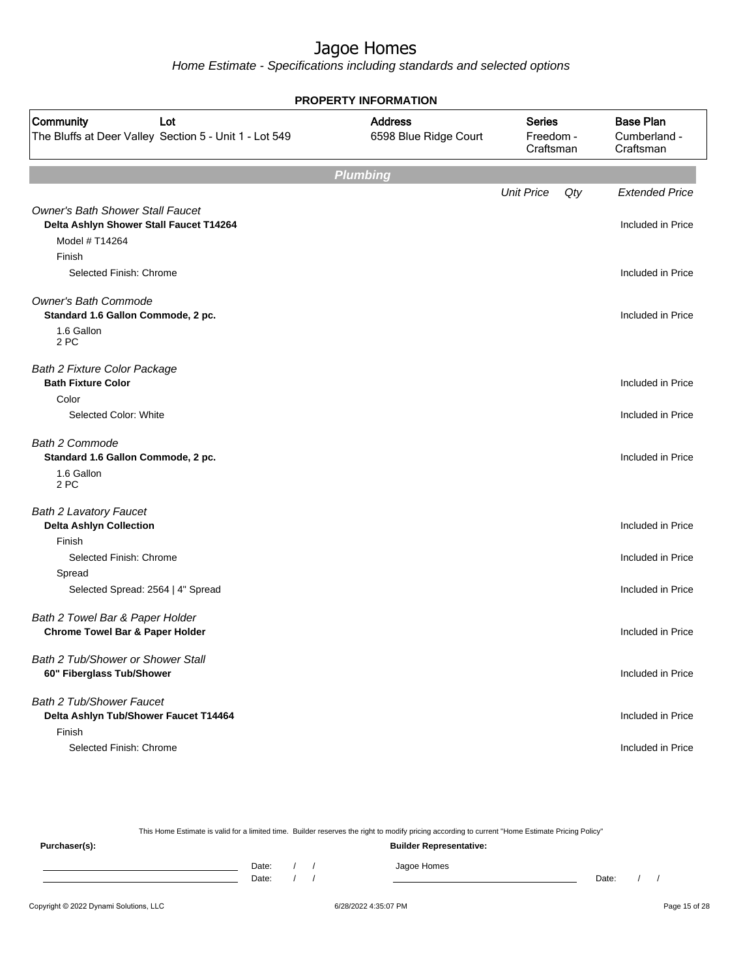Home Estimate - Specifications including standards and selected options

| <b>PROPERTY INFORMATION</b>                                                                          |                                         |                                         |     |                       |  |                                               |  |
|------------------------------------------------------------------------------------------------------|-----------------------------------------|-----------------------------------------|-----|-----------------------|--|-----------------------------------------------|--|
| Community<br>Lot<br>The Bluffs at Deer Valley Section 5 - Unit 1 - Lot 549                           | <b>Address</b><br>6598 Blue Ridge Court | <b>Series</b><br>Freedom -<br>Craftsman |     |                       |  | <b>Base Plan</b><br>Cumberland -<br>Craftsman |  |
|                                                                                                      | <b>Plumbing</b>                         |                                         |     |                       |  |                                               |  |
|                                                                                                      |                                         | <b>Unit Price</b>                       | Qty | <b>Extended Price</b> |  |                                               |  |
| <b>Owner's Bath Shower Stall Faucet</b><br>Delta Ashlyn Shower Stall Faucet T14264<br>Model # T14264 |                                         |                                         |     | Included in Price     |  |                                               |  |
| Finish                                                                                               |                                         |                                         |     |                       |  |                                               |  |
| Selected Finish: Chrome                                                                              |                                         |                                         |     | Included in Price     |  |                                               |  |
| <b>Owner's Bath Commode</b><br>Standard 1.6 Gallon Commode, 2 pc.                                    |                                         |                                         |     | Included in Price     |  |                                               |  |
| 1.6 Gallon<br>2 PC                                                                                   |                                         |                                         |     |                       |  |                                               |  |
| <b>Bath 2 Fixture Color Package</b><br><b>Bath Fixture Color</b>                                     |                                         |                                         |     | Included in Price     |  |                                               |  |
| Color                                                                                                |                                         |                                         |     |                       |  |                                               |  |
| Selected Color: White                                                                                |                                         |                                         |     | Included in Price     |  |                                               |  |
| <b>Bath 2 Commode</b><br>Standard 1.6 Gallon Commode, 2 pc.<br>1.6 Gallon<br>2 PC                    |                                         |                                         |     | Included in Price     |  |                                               |  |
| <b>Bath 2 Lavatory Faucet</b><br><b>Delta Ashlyn Collection</b>                                      |                                         |                                         |     | Included in Price     |  |                                               |  |
| Finish                                                                                               |                                         |                                         |     |                       |  |                                               |  |
| Selected Finish: Chrome<br>Spread                                                                    |                                         |                                         |     | Included in Price     |  |                                               |  |
| Selected Spread: 2564   4" Spread                                                                    |                                         |                                         |     | Included in Price     |  |                                               |  |
| Bath 2 Towel Bar & Paper Holder<br><b>Chrome Towel Bar &amp; Paper Holder</b>                        |                                         |                                         |     | Included in Price     |  |                                               |  |
| Bath 2 Tub/Shower or Shower Stall<br>60" Fiberglass Tub/Shower                                       |                                         |                                         |     | Included in Price     |  |                                               |  |
| Bath 2 Tub/Shower Faucet<br>Delta Ashlyn Tub/Shower Faucet T14464<br>Finish                          |                                         |                                         |     | Included in Price     |  |                                               |  |
| Selected Finish: Chrome                                                                              |                                         |                                         |     | Included in Price     |  |                                               |  |

This Home Estimate is valid for a limited time. Builder reserves the right to modify pricing according to current "Home Estimate Pricing Policy" **Purchaser(s): Builder Representative:** Date: / / Jagoe Homes<br>Date: / / Jagoe Homes Date: / / Date: / /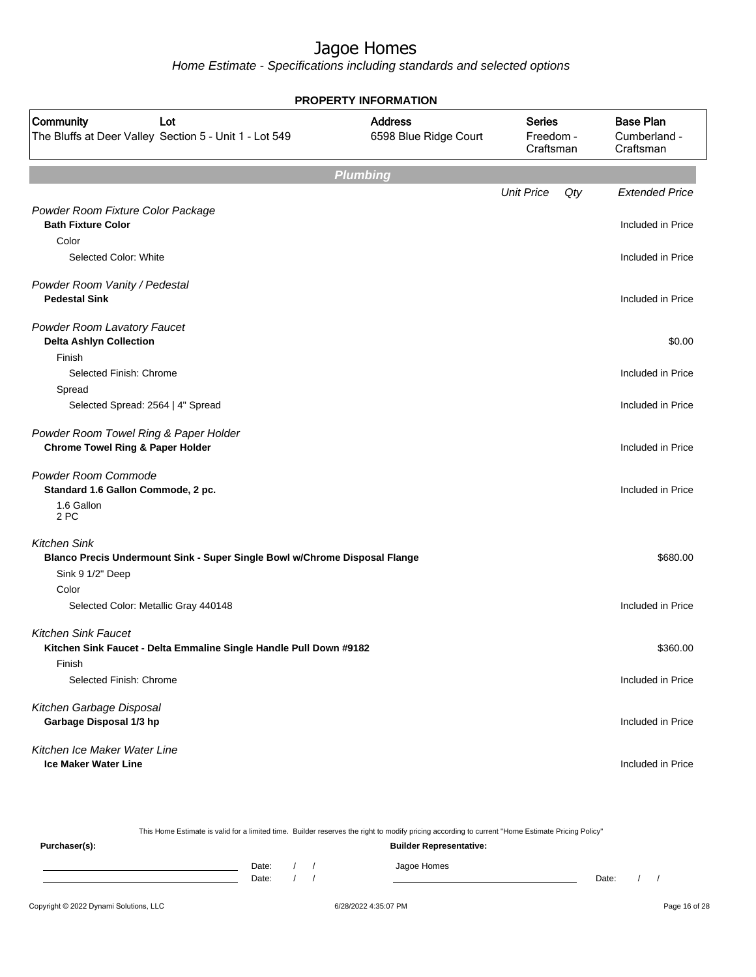|                                                                            | <b>PROPERTY INFORMATION</b>             |                                         |     |                                               |
|----------------------------------------------------------------------------|-----------------------------------------|-----------------------------------------|-----|-----------------------------------------------|
| Community<br>Lot<br>The Bluffs at Deer Valley Section 5 - Unit 1 - Lot 549 | <b>Address</b><br>6598 Blue Ridge Court | <b>Series</b><br>Freedom -<br>Craftsman |     | <b>Base Plan</b><br>Cumberland -<br>Craftsman |
|                                                                            | <b>Plumbing</b>                         |                                         |     |                                               |
|                                                                            |                                         | <b>Unit Price</b>                       | Qty | <b>Extended Price</b>                         |
| Powder Room Fixture Color Package                                          |                                         |                                         |     |                                               |
| <b>Bath Fixture Color</b>                                                  |                                         |                                         |     | Included in Price                             |
| Color                                                                      |                                         |                                         |     |                                               |
| Selected Color: White                                                      |                                         |                                         |     | Included in Price                             |
| Powder Room Vanity / Pedestal                                              |                                         |                                         |     |                                               |
| <b>Pedestal Sink</b>                                                       |                                         |                                         |     | Included in Price                             |
|                                                                            |                                         |                                         |     |                                               |
| Powder Room Lavatory Faucet                                                |                                         |                                         |     |                                               |
| <b>Delta Ashlyn Collection</b><br>Finish                                   |                                         |                                         |     | \$0.00                                        |
| Selected Finish: Chrome                                                    |                                         |                                         |     | Included in Price                             |
| Spread                                                                     |                                         |                                         |     |                                               |
| Selected Spread: 2564   4" Spread                                          |                                         |                                         |     | Included in Price                             |
| Powder Room Towel Ring & Paper Holder                                      |                                         |                                         |     |                                               |
| <b>Chrome Towel Ring &amp; Paper Holder</b>                                |                                         |                                         |     | Included in Price                             |
| Powder Room Commode                                                        |                                         |                                         |     |                                               |
| Standard 1.6 Gallon Commode, 2 pc.                                         |                                         |                                         |     | Included in Price                             |
| 1.6 Gallon                                                                 |                                         |                                         |     |                                               |
| 2 PC                                                                       |                                         |                                         |     |                                               |
| <b>Kitchen Sink</b>                                                        |                                         |                                         |     |                                               |
| Blanco Precis Undermount Sink - Super Single Bowl w/Chrome Disposal Flange |                                         |                                         |     | \$680.00                                      |
| Sink 9 1/2" Deep                                                           |                                         |                                         |     |                                               |
| Color                                                                      |                                         |                                         |     |                                               |
| Selected Color: Metallic Gray 440148                                       |                                         |                                         |     | Included in Price                             |
| <b>Kitchen Sink Faucet</b>                                                 |                                         |                                         |     |                                               |
| Kitchen Sink Faucet - Delta Emmaline Single Handle Pull Down #9182         |                                         |                                         |     | \$360.00                                      |
| Finish                                                                     |                                         |                                         |     |                                               |
| Selected Finish: Chrome                                                    |                                         |                                         |     | Included in Price                             |
| Kitchen Garbage Disposal                                                   |                                         |                                         |     |                                               |
| Garbage Disposal 1/3 hp                                                    |                                         |                                         |     | Included in Price                             |
| Kitchen Ice Maker Water Line                                               |                                         |                                         |     |                                               |
| <b>Ice Maker Water Line</b>                                                |                                         |                                         |     | Included in Price                             |

| This Home Estimate is valid for a limited time. Builder reserves the right to modify pricing according to current "Home Estimate Pricing Policy" |                                |  |  |  |             |       |  |  |  |
|--------------------------------------------------------------------------------------------------------------------------------------------------|--------------------------------|--|--|--|-------------|-------|--|--|--|
| Purchaser(s):                                                                                                                                    | <b>Builder Representative:</b> |  |  |  |             |       |  |  |  |
|                                                                                                                                                  | Date:                          |  |  |  | Jagoe Homes |       |  |  |  |
|                                                                                                                                                  | Date:                          |  |  |  |             | Date: |  |  |  |
|                                                                                                                                                  |                                |  |  |  |             |       |  |  |  |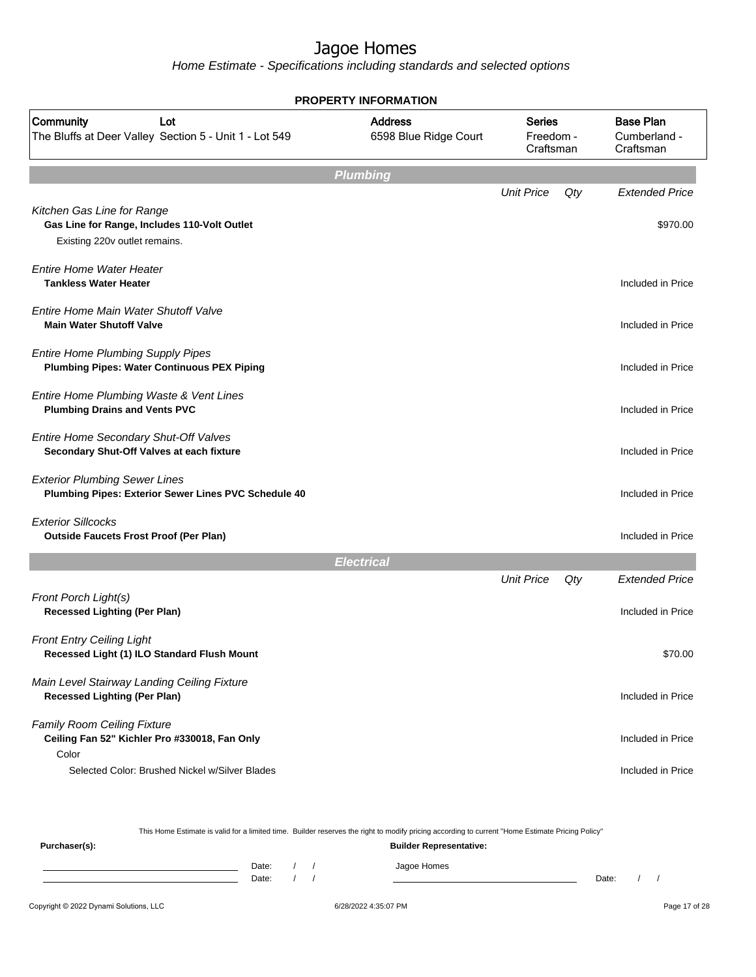Home Estimate - Specifications including standards and selected options

| <b>PROPERTY INFORMATION</b>                                                                                 |                                         |                                         |     |                                               |  |  |  |  |
|-------------------------------------------------------------------------------------------------------------|-----------------------------------------|-----------------------------------------|-----|-----------------------------------------------|--|--|--|--|
| Community<br>Lot<br>The Bluffs at Deer Valley Section 5 - Unit 1 - Lot 549                                  | <b>Address</b><br>6598 Blue Ridge Court | <b>Series</b><br>Freedom -<br>Craftsman |     | <b>Base Plan</b><br>Cumberland -<br>Craftsman |  |  |  |  |
| <b>Plumbing</b>                                                                                             |                                         |                                         |     |                                               |  |  |  |  |
|                                                                                                             |                                         | <b>Unit Price</b>                       | Qty | <b>Extended Price</b>                         |  |  |  |  |
| Kitchen Gas Line for Range<br>Gas Line for Range, Includes 110-Volt Outlet<br>Existing 220v outlet remains. |                                         |                                         |     | \$970.00                                      |  |  |  |  |
| Entire Home Water Heater<br><b>Tankless Water Heater</b>                                                    |                                         |                                         |     | Included in Price                             |  |  |  |  |
| Entire Home Main Water Shutoff Valve<br><b>Main Water Shutoff Valve</b>                                     |                                         |                                         |     | Included in Price                             |  |  |  |  |
| <b>Entire Home Plumbing Supply Pipes</b><br><b>Plumbing Pipes: Water Continuous PEX Piping</b>              |                                         |                                         |     | Included in Price                             |  |  |  |  |
| Entire Home Plumbing Waste & Vent Lines<br><b>Plumbing Drains and Vents PVC</b>                             |                                         |                                         |     | Included in Price                             |  |  |  |  |
| Entire Home Secondary Shut-Off Valves<br>Secondary Shut-Off Valves at each fixture                          |                                         |                                         |     | Included in Price                             |  |  |  |  |
| <b>Exterior Plumbing Sewer Lines</b><br>Plumbing Pipes: Exterior Sewer Lines PVC Schedule 40                |                                         |                                         |     | Included in Price                             |  |  |  |  |
| <b>Exterior Sillcocks</b><br><b>Outside Faucets Frost Proof (Per Plan)</b>                                  |                                         |                                         |     | Included in Price                             |  |  |  |  |
|                                                                                                             | <b>Electrical</b>                       |                                         |     |                                               |  |  |  |  |
| Front Porch Light(s)<br><b>Recessed Lighting (Per Plan)</b>                                                 |                                         | <b>Unit Price</b>                       | Qty | <b>Extended Price</b><br>Included in Price    |  |  |  |  |
| <b>Front Entry Ceiling Light</b><br>Recessed Light (1) ILO Standard Flush Mount                             |                                         |                                         |     | \$70.00                                       |  |  |  |  |
| Main Level Stairway Landing Ceiling Fixture<br><b>Recessed Lighting (Per Plan)</b>                          |                                         |                                         |     | Included in Price                             |  |  |  |  |
| Family Room Ceiling Fixture<br>Ceiling Fan 52" Kichler Pro #330018, Fan Only<br>Color                       |                                         |                                         |     | Included in Price                             |  |  |  |  |
| Selected Color: Brushed Nickel w/Silver Blades                                                              |                                         |                                         |     | Included in Price                             |  |  |  |  |

This Home Estimate is valid for a limited time. Builder reserves the right to modify pricing according to current "Home Estimate Pricing Policy" **Purchaser(s): Builder Representative:** Date: / / Jagoe Homes<br>Date: / / Jagoe Homes Date: / / **Date: / / 2006** Date: / / / Date: / / / Date: / / / 2006 Date: / / / 2006 Date: / / / 2006 Date: / / / 2006 Date: / / / 2007 Date: / / / 2007 Date: / / / 2007 Date: / / / 2007 Date: / / / 2007 Date: / / / 2007 D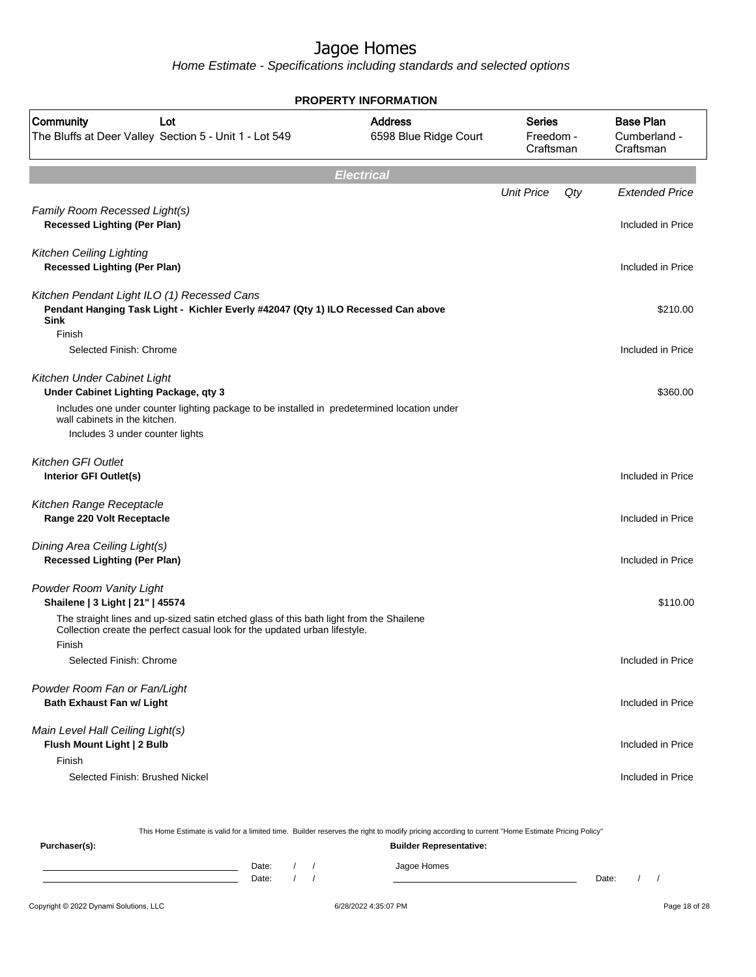Home Estimate - Specifications including standards and selected options

| <b>PROPERTY INFORMATION</b>                                                                                                                                                     |                                         |                   |                                         |                                               |  |  |  |
|---------------------------------------------------------------------------------------------------------------------------------------------------------------------------------|-----------------------------------------|-------------------|-----------------------------------------|-----------------------------------------------|--|--|--|
| Community<br>Lot<br>The Bluffs at Deer Valley Section 5 - Unit 1 - Lot 549                                                                                                      | <b>Address</b><br>6598 Blue Ridge Court |                   | <b>Series</b><br>Freedom -<br>Craftsman | <b>Base Plan</b><br>Cumberland -<br>Craftsman |  |  |  |
|                                                                                                                                                                                 | <b>Electrical</b>                       |                   |                                         |                                               |  |  |  |
|                                                                                                                                                                                 |                                         | <b>Unit Price</b> | Qty                                     | <b>Extended Price</b>                         |  |  |  |
| Family Room Recessed Light(s)<br><b>Recessed Lighting (Per Plan)</b>                                                                                                            |                                         |                   |                                         | Included in Price                             |  |  |  |
| <b>Kitchen Ceiling Lighting</b><br><b>Recessed Lighting (Per Plan)</b>                                                                                                          |                                         |                   |                                         | Included in Price                             |  |  |  |
| Kitchen Pendant Light ILO (1) Recessed Cans<br>Pendant Hanging Task Light - Kichler Everly #42047 (Qty 1) ILO Recessed Can above<br><b>Sink</b><br>Finish                       |                                         |                   |                                         | \$210.00                                      |  |  |  |
| Selected Finish: Chrome                                                                                                                                                         |                                         |                   |                                         | Included in Price                             |  |  |  |
| Kitchen Under Cabinet Light<br>Under Cabinet Lighting Package, qty 3                                                                                                            |                                         |                   |                                         | \$360.00                                      |  |  |  |
| Includes one under counter lighting package to be installed in predetermined location under<br>wall cabinets in the kitchen.                                                    |                                         |                   |                                         |                                               |  |  |  |
| Includes 3 under counter lights                                                                                                                                                 |                                         |                   |                                         |                                               |  |  |  |
| <b>Kitchen GFI Outlet</b><br>Interior GFI Outlet(s)                                                                                                                             |                                         |                   |                                         | Included in Price                             |  |  |  |
| Kitchen Range Receptacle<br>Range 220 Volt Receptacle                                                                                                                           |                                         |                   |                                         | Included in Price                             |  |  |  |
| Dining Area Ceiling Light(s)<br><b>Recessed Lighting (Per Plan)</b>                                                                                                             |                                         |                   |                                         | Included in Price                             |  |  |  |
| Powder Room Vanity Light<br>Shailene   3 Light   21"   45574                                                                                                                    |                                         |                   |                                         | \$110.00                                      |  |  |  |
| The straight lines and up-sized satin etched glass of this bath light from the Shailene<br>Collection create the perfect casual look for the updated urban lifestyle.<br>Finish |                                         |                   |                                         |                                               |  |  |  |
| Selected Finish: Chrome                                                                                                                                                         |                                         |                   |                                         | Included in Price                             |  |  |  |
| Powder Room Fan or Fan/Light<br><b>Bath Exhaust Fan w/ Light</b>                                                                                                                |                                         |                   |                                         | Included in Price                             |  |  |  |
| Main Level Hall Ceiling Light(s)<br>Flush Mount Light   2 Bulb<br>Finish                                                                                                        |                                         |                   |                                         | Included in Price                             |  |  |  |
| Selected Finish: Brushed Nickel                                                                                                                                                 |                                         |                   |                                         | Included in Price                             |  |  |  |

Copyright © 2022 Dynami Solutions, LLC <br>
6/28/2022 4:35:07 PM Page 18 of 28 This Home Estimate is valid for a limited time. Builder reserves the right to modify pricing according to current "Home Estimate Pricing Policy" **Purchaser(s): Builder Representative:** Date: / / Jagoe Homes<br>Date: / / Jagoe Homes Date: / / Date: / /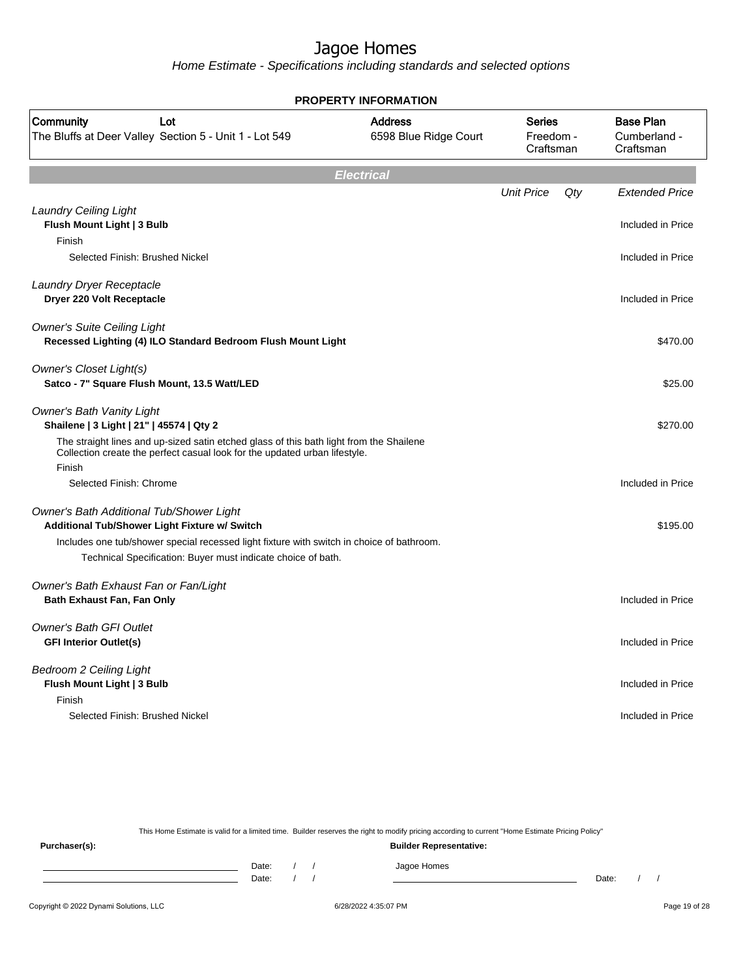Home Estimate - Specifications including standards and selected options

| <b>PROPERTY INFORMATION</b>                                                                                                                                                     |                                         |                                  |                                               |  |
|---------------------------------------------------------------------------------------------------------------------------------------------------------------------------------|-----------------------------------------|----------------------------------|-----------------------------------------------|--|
| Community<br>Lot<br>The Bluffs at Deer Valley Section 5 - Unit 1 - Lot 549                                                                                                      | <b>Address</b><br>6598 Blue Ridge Court | Series<br>Freedom -<br>Craftsman | <b>Base Plan</b><br>Cumberland -<br>Craftsman |  |
|                                                                                                                                                                                 | <b>Electrical</b>                       |                                  |                                               |  |
|                                                                                                                                                                                 |                                         | <b>Unit Price</b><br>Qty         | <b>Extended Price</b>                         |  |
| <b>Laundry Ceiling Light</b><br>Flush Mount Light   3 Bulb                                                                                                                      |                                         |                                  | Included in Price                             |  |
| Finish<br>Selected Finish: Brushed Nickel                                                                                                                                       |                                         |                                  | Included in Price                             |  |
| Laundry Dryer Receptacle<br>Dryer 220 Volt Receptacle                                                                                                                           |                                         |                                  | Included in Price                             |  |
| <b>Owner's Suite Ceiling Light</b><br>Recessed Lighting (4) ILO Standard Bedroom Flush Mount Light                                                                              |                                         |                                  | \$470.00                                      |  |
| <b>Owner's Closet Light(s)</b><br>Satco - 7" Square Flush Mount, 13.5 Watt/LED                                                                                                  |                                         |                                  | \$25.00                                       |  |
| <b>Owner's Bath Vanity Light</b><br>Shailene   3 Light   21"   45574   Qty 2                                                                                                    |                                         |                                  | \$270.00                                      |  |
| The straight lines and up-sized satin etched glass of this bath light from the Shailene<br>Collection create the perfect casual look for the updated urban lifestyle.<br>Finish |                                         |                                  |                                               |  |
| Selected Finish: Chrome                                                                                                                                                         |                                         |                                  | Included in Price                             |  |
| Owner's Bath Additional Tub/Shower Light<br>Additional Tub/Shower Light Fixture w/ Switch                                                                                       |                                         |                                  | \$195.00                                      |  |
| Includes one tub/shower special recessed light fixture with switch in choice of bathroom.<br>Technical Specification: Buyer must indicate choice of bath.                       |                                         |                                  |                                               |  |
| Owner's Bath Exhaust Fan or Fan/Light<br>Bath Exhaust Fan, Fan Only                                                                                                             |                                         |                                  | Included in Price                             |  |
| <b>Owner's Bath GFI Outlet</b><br><b>GFI Interior Outlet(s)</b>                                                                                                                 |                                         |                                  | Included in Price                             |  |
| <b>Bedroom 2 Ceiling Light</b><br>Flush Mount Light   3 Bulb                                                                                                                    |                                         |                                  | Included in Price                             |  |
| Finish<br>Selected Finish: Brushed Nickel                                                                                                                                       |                                         |                                  | Included in Price                             |  |

This Home Estimate is valid for a limited time. Builder reserves the right to modify pricing according to current "Home Estimate Pricing Policy" **Purchaser(s): Builder Representative:** Date: / / Jagoe Homes<br>Date: / / Jagoe Homes Date: / / **Date: / / 2006** Date: / / / Date: / / / Date: / / / 2006 Date: / / / 2006 Date: / / / 2006 Date: / / / 2006 Date: / / / 2007 Date: / / / 2007 Date: / / / 2007 Date: / / / 2007 Date: / / / 2007 Date: / / / 2007 D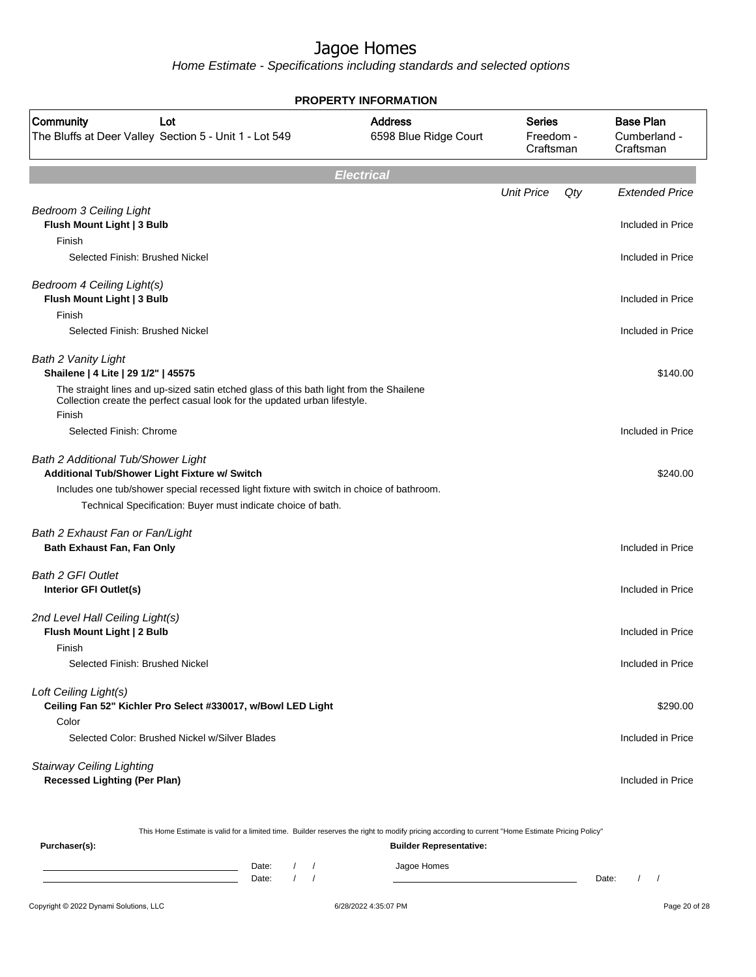Home Estimate - Specifications including standards and selected options

| <b>PROPERTY INFORMATION</b>                                                                                                                                                                                                                             |                                         |                                  |     |                                               |  |
|---------------------------------------------------------------------------------------------------------------------------------------------------------------------------------------------------------------------------------------------------------|-----------------------------------------|----------------------------------|-----|-----------------------------------------------|--|
| Community<br>Lot<br>The Bluffs at Deer Valley Section 5 - Unit 1 - Lot 549                                                                                                                                                                              | <b>Address</b><br>6598 Blue Ridge Court | Series<br>Freedom -<br>Craftsman |     | <b>Base Plan</b><br>Cumberland -<br>Craftsman |  |
|                                                                                                                                                                                                                                                         | <b>Electrical</b>                       |                                  |     |                                               |  |
|                                                                                                                                                                                                                                                         |                                         | <b>Unit Price</b>                | Qty | <b>Extended Price</b>                         |  |
| <b>Bedroom 3 Ceiling Light</b><br>Flush Mount Light   3 Bulb                                                                                                                                                                                            |                                         |                                  |     | Included in Price                             |  |
| Finish<br>Selected Finish: Brushed Nickel                                                                                                                                                                                                               |                                         |                                  |     | Included in Price                             |  |
| Bedroom 4 Ceiling Light(s)<br>Flush Mount Light   3 Bulb<br>Finish                                                                                                                                                                                      |                                         |                                  |     | Included in Price                             |  |
| Selected Finish: Brushed Nickel                                                                                                                                                                                                                         |                                         |                                  |     | Included in Price                             |  |
| <b>Bath 2 Vanity Light</b><br>Shailene   4 Lite   29 1/2"   45575<br>The straight lines and up-sized satin etched glass of this bath light from the Shailene<br>Collection create the perfect casual look for the updated urban lifestyle.              |                                         |                                  |     | \$140.00                                      |  |
| Finish<br>Selected Finish: Chrome                                                                                                                                                                                                                       |                                         |                                  |     | Included in Price                             |  |
| <b>Bath 2 Additional Tub/Shower Light</b><br>Additional Tub/Shower Light Fixture w/ Switch<br>Includes one tub/shower special recessed light fixture with switch in choice of bathroom.<br>Technical Specification: Buyer must indicate choice of bath. |                                         |                                  |     | \$240.00                                      |  |
| Bath 2 Exhaust Fan or Fan/Light<br>Bath Exhaust Fan, Fan Only                                                                                                                                                                                           |                                         |                                  |     | Included in Price                             |  |
| <b>Bath 2 GFI Outlet</b><br>Interior GFI Outlet(s)                                                                                                                                                                                                      |                                         |                                  |     | Included in Price                             |  |
| 2nd Level Hall Ceiling Light(s)<br>Flush Mount Light   2 Bulb<br>Finish                                                                                                                                                                                 |                                         |                                  |     | Included in Price                             |  |
| Selected Finish: Brushed Nickel                                                                                                                                                                                                                         |                                         |                                  |     | Included in Price                             |  |
| Loft Ceiling Light(s)<br>Ceiling Fan 52" Kichler Pro Select #330017, w/Bowl LED Light<br>Color                                                                                                                                                          |                                         |                                  |     | \$290.00                                      |  |
| Selected Color: Brushed Nickel w/Silver Blades                                                                                                                                                                                                          |                                         |                                  |     | Included in Price                             |  |
| <b>Stairway Ceiling Lighting</b><br><b>Recessed Lighting (Per Plan)</b>                                                                                                                                                                                 |                                         |                                  |     | Included in Price                             |  |

This Home Estimate is valid for a limited time. Builder reserves the right to modify pricing according to current "Home Estimate Pricing Policy"

**Purchaser(s): Builder Representative:** Date: / / Jagoe Homes<br>Date: / / Jagoe Homes Date: / / Date: / /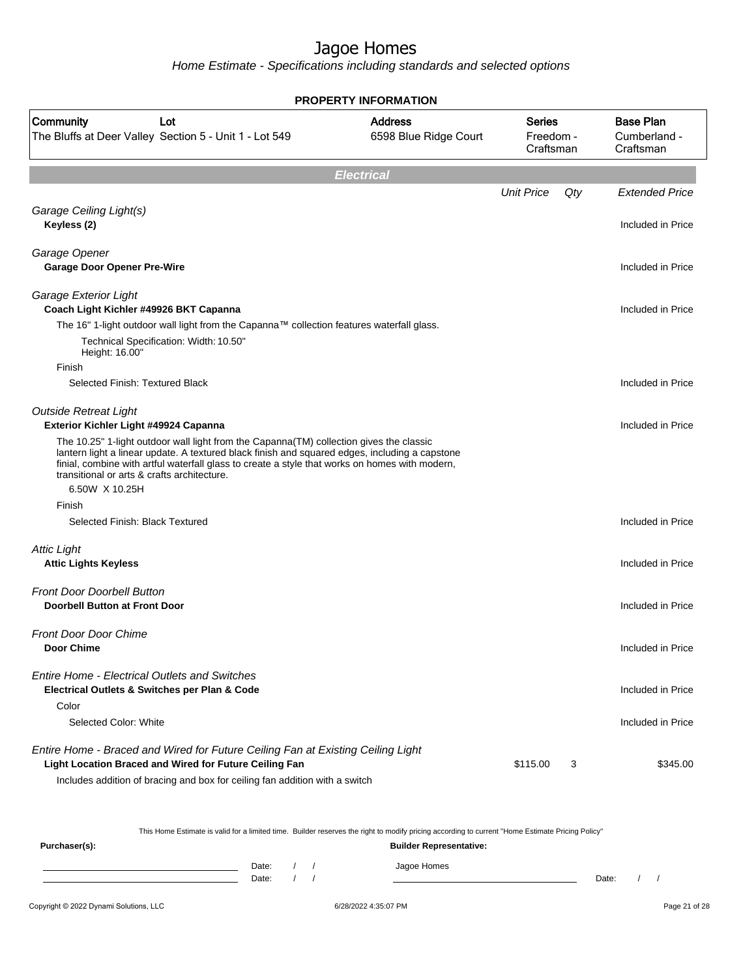Home Estimate - Specifications including standards and selected options

| <b>PROPERTY INFORMATION</b>                                                                                                                                                                                                                                                                                                                                  |                                         |                                         |     |                                               |
|--------------------------------------------------------------------------------------------------------------------------------------------------------------------------------------------------------------------------------------------------------------------------------------------------------------------------------------------------------------|-----------------------------------------|-----------------------------------------|-----|-----------------------------------------------|
| Community<br>Lot<br>The Bluffs at Deer Valley Section 5 - Unit 1 - Lot 549                                                                                                                                                                                                                                                                                   | <b>Address</b><br>6598 Blue Ridge Court | <b>Series</b><br>Freedom -<br>Craftsman |     | <b>Base Plan</b><br>Cumberland -<br>Craftsman |
|                                                                                                                                                                                                                                                                                                                                                              | <b>Electrical</b>                       |                                         |     |                                               |
|                                                                                                                                                                                                                                                                                                                                                              |                                         | <b>Unit Price</b>                       | Qty | <b>Extended Price</b>                         |
| Garage Ceiling Light(s)<br>Keyless (2)                                                                                                                                                                                                                                                                                                                       |                                         |                                         |     | Included in Price                             |
| Garage Opener<br><b>Garage Door Opener Pre-Wire</b>                                                                                                                                                                                                                                                                                                          |                                         |                                         |     | Included in Price                             |
| Garage Exterior Light<br>Coach Light Kichler #49926 BKT Capanna                                                                                                                                                                                                                                                                                              |                                         |                                         |     | Included in Price                             |
| The 16" 1-light outdoor wall light from the Capanna™ collection features waterfall glass.<br>Technical Specification: Width: 10.50"<br>Height: 16.00"                                                                                                                                                                                                        |                                         |                                         |     |                                               |
| Finish<br>Selected Finish: Textured Black                                                                                                                                                                                                                                                                                                                    |                                         |                                         |     | Included in Price                             |
| <b>Outside Retreat Light</b><br>Exterior Kichler Light #49924 Capanna                                                                                                                                                                                                                                                                                        |                                         |                                         |     | Included in Price                             |
| The 10.25" 1-light outdoor wall light from the Capanna(TM) collection gives the classic<br>lantern light a linear update. A textured black finish and squared edges, including a capstone<br>finial, combine with artful waterfall glass to create a style that works on homes with modern,<br>transitional or arts & crafts architecture.<br>6.50W X 10.25H |                                         |                                         |     |                                               |
| Finish                                                                                                                                                                                                                                                                                                                                                       |                                         |                                         |     |                                               |
| Selected Finish: Black Textured                                                                                                                                                                                                                                                                                                                              |                                         |                                         |     | Included in Price                             |
| <b>Attic Light</b><br><b>Attic Lights Keyless</b>                                                                                                                                                                                                                                                                                                            |                                         |                                         |     | Included in Price                             |
| <b>Front Door Doorbell Button</b><br><b>Doorbell Button at Front Door</b>                                                                                                                                                                                                                                                                                    |                                         |                                         |     | Included in Price                             |
| <b>Front Door Door Chime</b><br>Door Chime                                                                                                                                                                                                                                                                                                                   |                                         |                                         |     | Included in Price                             |
| <b>Entire Home - Electrical Outlets and Switches</b><br>Electrical Outlets & Switches per Plan & Code<br>Color                                                                                                                                                                                                                                               |                                         |                                         |     | Included in Price                             |
| Selected Color: White                                                                                                                                                                                                                                                                                                                                        |                                         |                                         |     | Included in Price                             |
| Entire Home - Braced and Wired for Future Ceiling Fan at Existing Ceiling Light<br>Light Location Braced and Wired for Future Ceiling Fan<br>Includes addition of bracing and box for ceiling fan addition with a switch                                                                                                                                     |                                         | \$115.00                                | 3   | \$345.00                                      |

This Home Estimate is valid for a limited time. Builder reserves the right to modify pricing according to current "Home Estimate Pricing Policy"

**Purchaser(s): Builder Representative:** Date: / / Jagoe Homes<br>Date: / / Jagoe Homes Date: / / **Date: / / 2006** Date: / / / Date: / / / Date: / / / 2006 Date: / / / 2006 Date: / / / 2006 Date: / / / 2006 Date: / / / 2007 Date: / / / 2007 Date: / / / 2007 Date: / / / 2007 Date: / / / 2007 Date: / / / 2007 D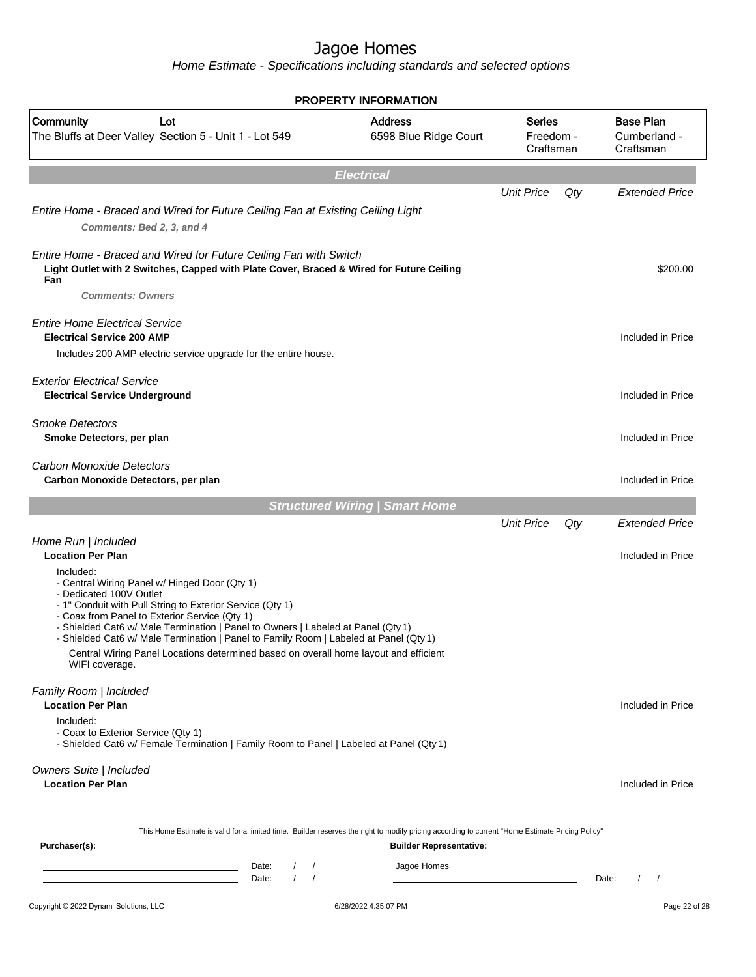|                                                                                                                                                                                                                                                                                                                                                                                                                                                                                            | <b>PROPERTY INFORMATION</b>             |                                  |     |                                               |
|--------------------------------------------------------------------------------------------------------------------------------------------------------------------------------------------------------------------------------------------------------------------------------------------------------------------------------------------------------------------------------------------------------------------------------------------------------------------------------------------|-----------------------------------------|----------------------------------|-----|-----------------------------------------------|
| Community<br>Lot<br>The Bluffs at Deer Valley Section 5 - Unit 1 - Lot 549                                                                                                                                                                                                                                                                                                                                                                                                                 | <b>Address</b><br>6598 Blue Ridge Court | Series<br>Freedom -<br>Craftsman |     | <b>Base Plan</b><br>Cumberland -<br>Craftsman |
|                                                                                                                                                                                                                                                                                                                                                                                                                                                                                            | <b>Electrical</b>                       |                                  |     |                                               |
|                                                                                                                                                                                                                                                                                                                                                                                                                                                                                            |                                         | <b>Unit Price</b>                | Qty | <b>Extended Price</b>                         |
| Entire Home - Braced and Wired for Future Ceiling Fan at Existing Ceiling Light<br>Comments: Bed 2, 3, and 4                                                                                                                                                                                                                                                                                                                                                                               |                                         |                                  |     |                                               |
| Entire Home - Braced and Wired for Future Ceiling Fan with Switch<br>Light Outlet with 2 Switches, Capped with Plate Cover, Braced & Wired for Future Ceiling<br>Fan<br><b>Comments: Owners</b>                                                                                                                                                                                                                                                                                            |                                         |                                  |     | \$200.00                                      |
| <b>Entire Home Electrical Service</b><br><b>Electrical Service 200 AMP</b>                                                                                                                                                                                                                                                                                                                                                                                                                 |                                         |                                  |     | Included in Price                             |
| Includes 200 AMP electric service upgrade for the entire house.                                                                                                                                                                                                                                                                                                                                                                                                                            |                                         |                                  |     |                                               |
| <b>Exterior Electrical Service</b><br><b>Electrical Service Underground</b>                                                                                                                                                                                                                                                                                                                                                                                                                |                                         |                                  |     | Included in Price                             |
| <b>Smoke Detectors</b><br>Smoke Detectors, per plan                                                                                                                                                                                                                                                                                                                                                                                                                                        |                                         |                                  |     | Included in Price                             |
| Carbon Monoxide Detectors<br>Carbon Monoxide Detectors, per plan                                                                                                                                                                                                                                                                                                                                                                                                                           |                                         |                                  |     | Included in Price                             |
|                                                                                                                                                                                                                                                                                                                                                                                                                                                                                            | <b>Structured Wiring   Smart Home</b>   |                                  |     |                                               |
|                                                                                                                                                                                                                                                                                                                                                                                                                                                                                            |                                         | <b>Unit Price</b>                | Qty | <b>Extended Price</b>                         |
| Home Run   Included<br><b>Location Per Plan</b>                                                                                                                                                                                                                                                                                                                                                                                                                                            |                                         |                                  |     | Included in Price                             |
| Included:<br>- Central Wiring Panel w/ Hinged Door (Qty 1)<br>- Dedicated 100V Outlet<br>- 1" Conduit with Pull String to Exterior Service (Qty 1)<br>- Coax from Panel to Exterior Service (Qty 1)<br>- Shielded Cat6 w/ Male Termination   Panel to Owners   Labeled at Panel (Qty 1)<br>- Shielded Cat6 w/ Male Termination   Panel to Family Room   Labeled at Panel (Qty 1)<br>Central Wiring Panel Locations determined based on overall home layout and efficient<br>WIFI coverage. |                                         |                                  |     |                                               |
| Family Room   Included                                                                                                                                                                                                                                                                                                                                                                                                                                                                     |                                         |                                  |     |                                               |
| <b>Location Per Plan</b>                                                                                                                                                                                                                                                                                                                                                                                                                                                                   |                                         |                                  |     | Included in Price                             |
| Included:<br>- Coax to Exterior Service (Qty 1)<br>- Shielded Cat6 w/ Female Termination   Family Room to Panel   Labeled at Panel (Qty 1)                                                                                                                                                                                                                                                                                                                                                 |                                         |                                  |     |                                               |
| Owners Suite   Included<br><b>Location Per Plan</b>                                                                                                                                                                                                                                                                                                                                                                                                                                        |                                         |                                  |     | Included in Price                             |
| This Home Estimate is valid for a limited time. Builder reserves the right to modify pricing according to current "Home Estimate Pricing Policy"                                                                                                                                                                                                                                                                                                                                           |                                         |                                  |     |                                               |
| Purchaser(s):                                                                                                                                                                                                                                                                                                                                                                                                                                                                              | <b>Builder Representative:</b>          |                                  |     |                                               |
| Date:<br>$\sqrt{ }$<br><u> 1989 - Johann Barn, mars ann an t-Amhair ann an t-Amhair an t-Amhair an t-Amhair an t-Amhair an t-Amhair an t-</u><br>$\left  \right $<br><u> 1980 - Johann Barn, fransk politik (d. 1980)</u><br>Date:                                                                                                                                                                                                                                                         | Jagoe Homes                             |                                  |     | Date:<br>$\prime$<br>$\overline{\phantom{a}}$ |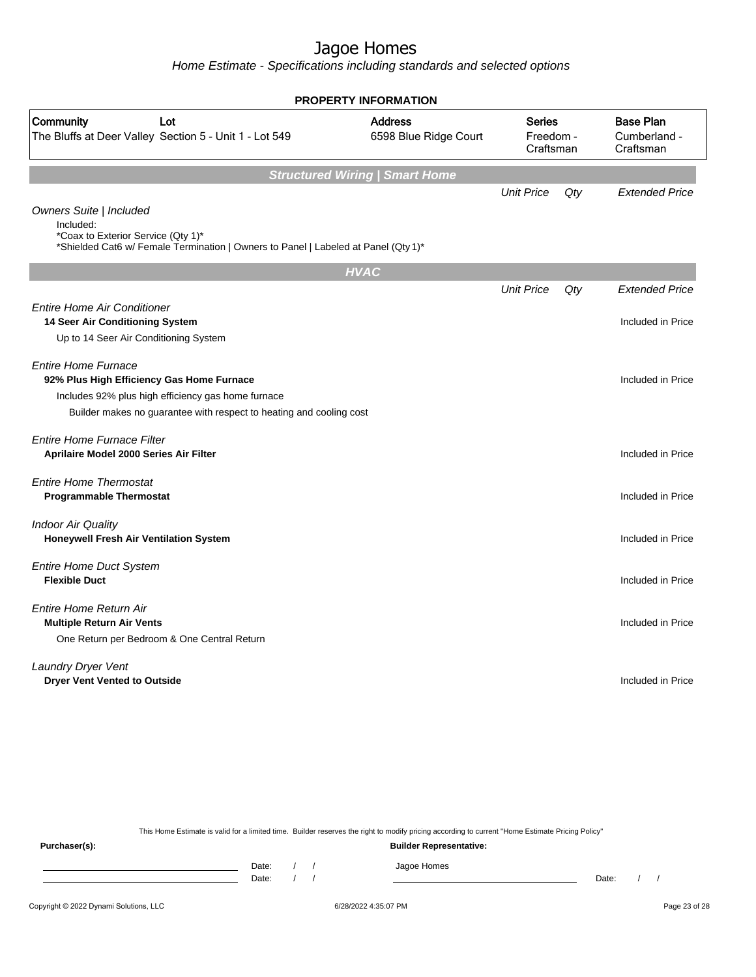Home Estimate - Specifications including standards and selected options

|                                                                                                                                                                  | <b>PROPERTY INFORMATION</b>             |                                         |     |                                               |
|------------------------------------------------------------------------------------------------------------------------------------------------------------------|-----------------------------------------|-----------------------------------------|-----|-----------------------------------------------|
| Community<br>Lot<br>The Bluffs at Deer Valley Section 5 - Unit 1 - Lot 549                                                                                       | <b>Address</b><br>6598 Blue Ridge Court | <b>Series</b><br>Freedom -<br>Craftsman |     | <b>Base Plan</b><br>Cumberland -<br>Craftsman |
|                                                                                                                                                                  | <b>Structured Wiring   Smart Home</b>   |                                         |     |                                               |
|                                                                                                                                                                  |                                         | <b>Unit Price</b>                       | Qty | <b>Extended Price</b>                         |
| Owners Suite   Included<br>Included:<br>*Coax to Exterior Service (Qty 1)*<br>*Shielded Cat6 w/ Female Termination   Owners to Panel   Labeled at Panel (Qty 1)* |                                         |                                         |     |                                               |
|                                                                                                                                                                  | <b>HVAC</b>                             |                                         |     |                                               |
|                                                                                                                                                                  |                                         | <b>Unit Price</b>                       | Qty | <b>Extended Price</b>                         |
| <b>Entire Home Air Conditioner</b>                                                                                                                               |                                         |                                         |     |                                               |
| 14 Seer Air Conditioning System                                                                                                                                  |                                         |                                         |     | Included in Price                             |
| Up to 14 Seer Air Conditioning System                                                                                                                            |                                         |                                         |     |                                               |
| <b>Entire Home Furnace</b>                                                                                                                                       |                                         |                                         |     |                                               |
| 92% Plus High Efficiency Gas Home Furnace                                                                                                                        |                                         |                                         |     | Included in Price                             |
| Includes 92% plus high efficiency gas home furnace                                                                                                               |                                         |                                         |     |                                               |
| Builder makes no guarantee with respect to heating and cooling cost                                                                                              |                                         |                                         |     |                                               |
|                                                                                                                                                                  |                                         |                                         |     |                                               |
| Entire Home Furnace Filter                                                                                                                                       |                                         |                                         |     |                                               |
| Aprilaire Model 2000 Series Air Filter                                                                                                                           |                                         |                                         |     | Included in Price                             |
| <b>Entire Home Thermostat</b>                                                                                                                                    |                                         |                                         |     |                                               |
| <b>Programmable Thermostat</b>                                                                                                                                   |                                         |                                         |     | Included in Price                             |
|                                                                                                                                                                  |                                         |                                         |     |                                               |
| <b>Indoor Air Quality</b><br><b>Honeywell Fresh Air Ventilation System</b>                                                                                       |                                         |                                         |     | Included in Price                             |
|                                                                                                                                                                  |                                         |                                         |     |                                               |
| <b>Entire Home Duct System</b>                                                                                                                                   |                                         |                                         |     |                                               |
| <b>Flexible Duct</b>                                                                                                                                             |                                         |                                         |     | Included in Price                             |
| Entire Home Return Air                                                                                                                                           |                                         |                                         |     |                                               |
| <b>Multiple Return Air Vents</b>                                                                                                                                 |                                         |                                         |     | Included in Price                             |
| One Return per Bedroom & One Central Return                                                                                                                      |                                         |                                         |     |                                               |
|                                                                                                                                                                  |                                         |                                         |     |                                               |
| <b>Laundry Dryer Vent</b>                                                                                                                                        |                                         |                                         |     |                                               |
| <b>Dryer Vent Vented to Outside</b>                                                                                                                              |                                         |                                         |     | Included in Price                             |
|                                                                                                                                                                  |                                         |                                         |     |                                               |
|                                                                                                                                                                  |                                         |                                         |     |                                               |

This Home Estimate is valid for a limited time. Builder reserves the right to modify pricing according to current "Home Estimate Pricing Policy"

**Purchaser(s): Builder Representative:** Date: / / Jagoe Homes<br>Date: / / Jagoe Homes Date: / / Date: / /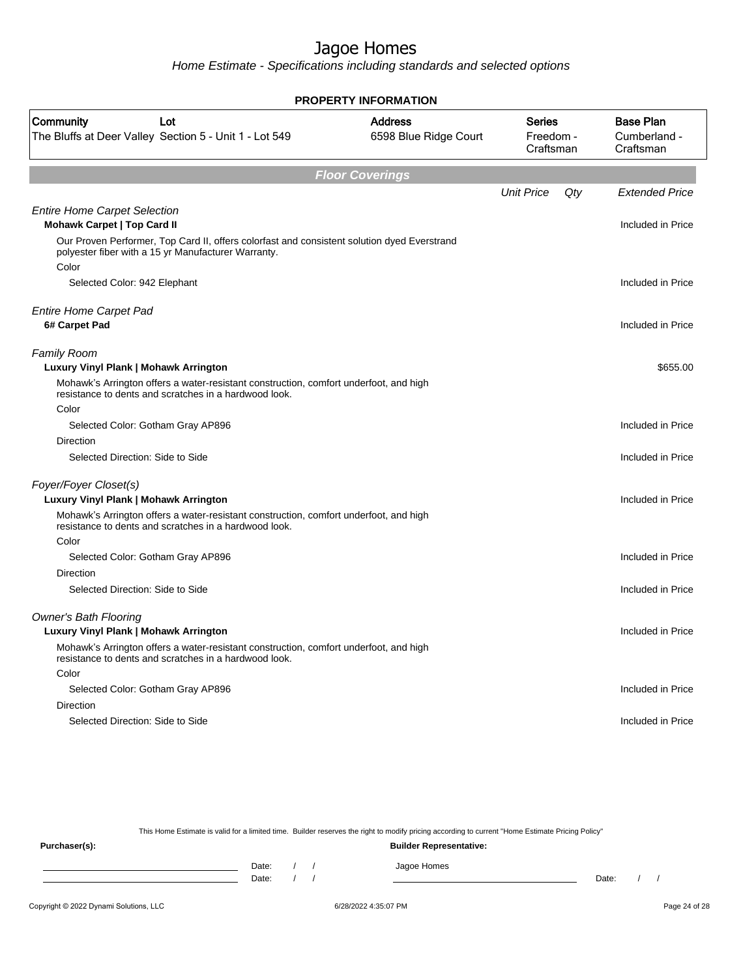Home Estimate - Specifications including standards and selected options

| <b>PROPERTY INFORMATION</b>                                                                                                                                 |                                         |                                         |     |                                               |
|-------------------------------------------------------------------------------------------------------------------------------------------------------------|-----------------------------------------|-----------------------------------------|-----|-----------------------------------------------|
| Community<br>Lot<br>The Bluffs at Deer Valley Section 5 - Unit 1 - Lot 549                                                                                  | <b>Address</b><br>6598 Blue Ridge Court | <b>Series</b><br>Freedom -<br>Craftsman |     | <b>Base Plan</b><br>Cumberland -<br>Craftsman |
|                                                                                                                                                             | <b>Floor Coverings</b>                  |                                         |     |                                               |
|                                                                                                                                                             |                                         | <b>Unit Price</b>                       | Qty | <b>Extended Price</b>                         |
| <b>Entire Home Carpet Selection</b><br><b>Mohawk Carpet   Top Card II</b>                                                                                   |                                         |                                         |     | Included in Price                             |
| Our Proven Performer, Top Card II, offers colorfast and consistent solution dyed Everstrand<br>polyester fiber with a 15 yr Manufacturer Warranty.<br>Color |                                         |                                         |     |                                               |
| Selected Color: 942 Elephant                                                                                                                                |                                         |                                         |     | Included in Price                             |
| <b>Entire Home Carpet Pad</b><br>6# Carpet Pad                                                                                                              |                                         |                                         |     | Included in Price                             |
|                                                                                                                                                             |                                         |                                         |     |                                               |
| <b>Family Room</b><br>Luxury Vinyl Plank   Mohawk Arrington                                                                                                 |                                         |                                         |     | \$655.00                                      |
| Mohawk's Arrington offers a water-resistant construction, comfort underfoot, and high<br>resistance to dents and scratches in a hardwood look.              |                                         |                                         |     |                                               |
| Color                                                                                                                                                       |                                         |                                         |     |                                               |
| Selected Color: Gotham Gray AP896                                                                                                                           |                                         |                                         |     | Included in Price                             |
| Direction                                                                                                                                                   |                                         |                                         |     |                                               |
| Selected Direction: Side to Side                                                                                                                            |                                         |                                         |     | Included in Price                             |
| Foyer/Foyer Closet(s)                                                                                                                                       |                                         |                                         |     |                                               |
| Luxury Vinyl Plank   Mohawk Arrington                                                                                                                       |                                         |                                         |     | Included in Price                             |
| Mohawk's Arrington offers a water-resistant construction, comfort underfoot, and high<br>resistance to dents and scratches in a hardwood look.              |                                         |                                         |     |                                               |
| Color                                                                                                                                                       |                                         |                                         |     |                                               |
| Selected Color: Gotham Gray AP896                                                                                                                           |                                         |                                         |     | Included in Price                             |
| Direction<br>Selected Direction: Side to Side                                                                                                               |                                         |                                         |     | Included in Price                             |
|                                                                                                                                                             |                                         |                                         |     |                                               |
| <b>Owner's Bath Flooring</b><br>Luxury Vinyl Plank   Mohawk Arrington                                                                                       |                                         |                                         |     | Included in Price                             |
| Mohawk's Arrington offers a water-resistant construction, comfort underfoot, and high<br>resistance to dents and scratches in a hardwood look.              |                                         |                                         |     |                                               |
| Color                                                                                                                                                       |                                         |                                         |     |                                               |
| Selected Color: Gotham Gray AP896                                                                                                                           |                                         |                                         |     | Included in Price                             |
| Direction                                                                                                                                                   |                                         |                                         |     |                                               |
| Selected Direction: Side to Side                                                                                                                            |                                         |                                         |     | Included in Price                             |
|                                                                                                                                                             |                                         |                                         |     |                                               |

This Home Estimate is valid for a limited time. Builder reserves the right to modify pricing according to current "Home Estimate Pricing Policy" **Purchaser(s): Builder Representative:** Date: / / Jagoe Homes<br>Date: / / Jagoe Homes Date: / / **Date: / / 2006** Date: / / / Date: / / / Date: / / / 2006 Date: / / / 2006 Date: / / / 2006 Date: / / / 2006 Date: / / / 2007 Date: / / / 2007 Date: / / / 2007 Date: / / / 2007 Date: / / / 2007 Date: / / / 2007 D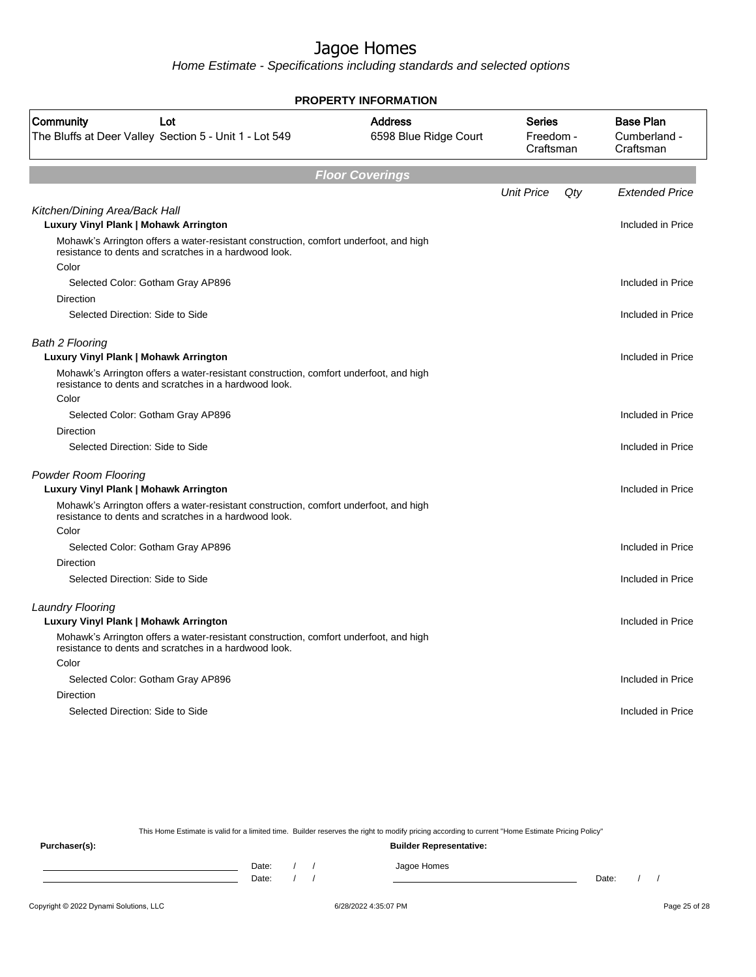Home Estimate - Specifications including standards and selected options

| <b>PROPERTY INFORMATION</b>                                                                                                                    |                                         |                                         |     |                                               |
|------------------------------------------------------------------------------------------------------------------------------------------------|-----------------------------------------|-----------------------------------------|-----|-----------------------------------------------|
| Community<br>Lot<br>The Bluffs at Deer Valley Section 5 - Unit 1 - Lot 549                                                                     | <b>Address</b><br>6598 Blue Ridge Court | <b>Series</b><br>Freedom -<br>Craftsman |     | <b>Base Plan</b><br>Cumberland -<br>Craftsman |
|                                                                                                                                                | <b>Floor Coverings</b>                  |                                         |     |                                               |
|                                                                                                                                                |                                         | <b>Unit Price</b>                       | Qty | <b>Extended Price</b>                         |
| Kitchen/Dining Area/Back Hall<br>Luxury Vinyl Plank   Mohawk Arrington                                                                         |                                         |                                         |     | Included in Price                             |
| Mohawk's Arrington offers a water-resistant construction, comfort underfoot, and high<br>resistance to dents and scratches in a hardwood look. |                                         |                                         |     |                                               |
| Color                                                                                                                                          |                                         |                                         |     |                                               |
| Selected Color: Gotham Gray AP896                                                                                                              |                                         |                                         |     | Included in Price                             |
| <b>Direction</b>                                                                                                                               |                                         |                                         |     |                                               |
| Selected Direction: Side to Side                                                                                                               |                                         |                                         |     | Included in Price                             |
| <b>Bath 2 Flooring</b><br>Luxury Vinyl Plank   Mohawk Arrington                                                                                |                                         |                                         |     | Included in Price                             |
| Mohawk's Arrington offers a water-resistant construction, comfort underfoot, and high<br>resistance to dents and scratches in a hardwood look. |                                         |                                         |     |                                               |
| Color                                                                                                                                          |                                         |                                         |     |                                               |
| Selected Color: Gotham Gray AP896                                                                                                              |                                         |                                         |     | Included in Price                             |
| Direction                                                                                                                                      |                                         |                                         |     |                                               |
| Selected Direction: Side to Side                                                                                                               |                                         |                                         |     | Included in Price                             |
| <b>Powder Room Flooring</b>                                                                                                                    |                                         |                                         |     |                                               |
| Luxury Vinyl Plank   Mohawk Arrington                                                                                                          |                                         |                                         |     | Included in Price                             |
| Mohawk's Arrington offers a water-resistant construction, comfort underfoot, and high<br>resistance to dents and scratches in a hardwood look. |                                         |                                         |     |                                               |
| Color                                                                                                                                          |                                         |                                         |     |                                               |
| Selected Color: Gotham Gray AP896                                                                                                              |                                         |                                         |     | Included in Price                             |
| <b>Direction</b>                                                                                                                               |                                         |                                         |     |                                               |
| Selected Direction: Side to Side                                                                                                               |                                         |                                         |     | Included in Price                             |
| <b>Laundry Flooring</b>                                                                                                                        |                                         |                                         |     |                                               |
| Luxury Vinyl Plank   Mohawk Arrington                                                                                                          |                                         |                                         |     | Included in Price                             |
| Mohawk's Arrington offers a water-resistant construction, comfort underfoot, and high<br>resistance to dents and scratches in a hardwood look. |                                         |                                         |     |                                               |
| Color                                                                                                                                          |                                         |                                         |     |                                               |
| Selected Color: Gotham Gray AP896                                                                                                              |                                         |                                         |     | Included in Price                             |
| Direction                                                                                                                                      |                                         |                                         |     |                                               |
| Selected Direction: Side to Side                                                                                                               |                                         |                                         |     | Included in Price                             |
|                                                                                                                                                |                                         |                                         |     |                                               |

This Home Estimate is valid for a limited time. Builder reserves the right to modify pricing according to current "Home Estimate Pricing Policy"

**Purchaser(s): Builder Representative:** Date: / / Jagoe Homes<br>Date: / / Jagoe Homes Date: / / **Date: / / 2006** Date: / / / Date: / / / Date: / / / 2006 Date: / / / 2006 Date: / / / 2006 Date: / / / 2006 Date: / / / 2007 Date: / / / 2007 Date: / / / 2007 Date: / / / 2007 Date: / / / 2007 Date: / / / 2007 D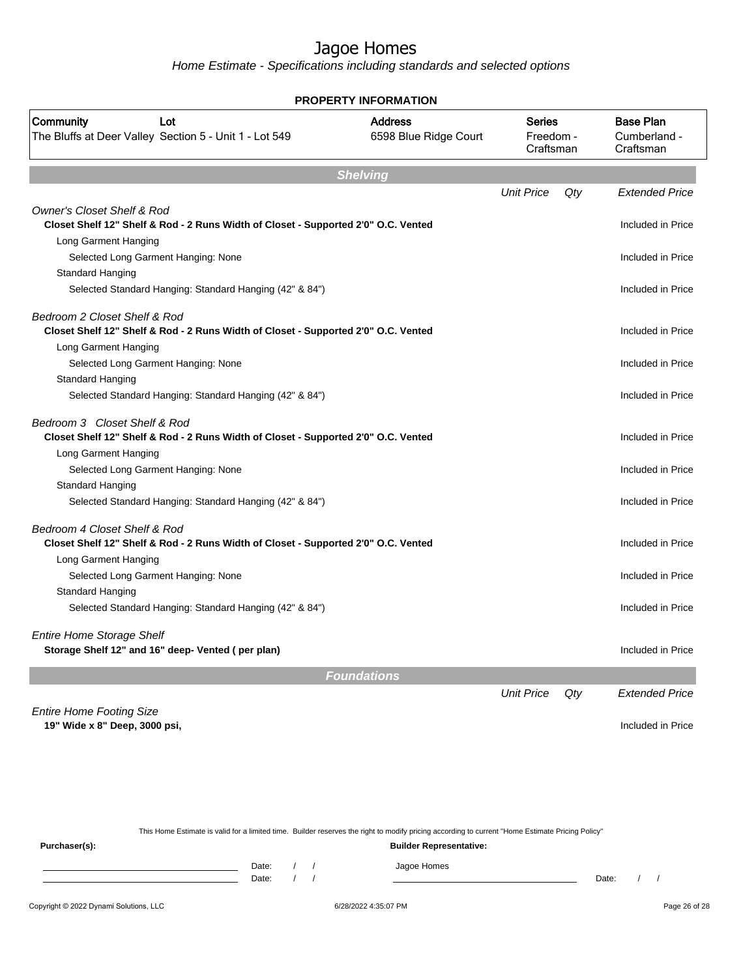Home Estimate - Specifications including standards and selected options

| <b>PROPERTY INFORMATION</b>                                                                                                 |                                         |                                         |     |                                               |
|-----------------------------------------------------------------------------------------------------------------------------|-----------------------------------------|-----------------------------------------|-----|-----------------------------------------------|
| Community<br>Lot<br>The Bluffs at Deer Valley Section 5 - Unit 1 - Lot 549                                                  | <b>Address</b><br>6598 Blue Ridge Court | <b>Series</b><br>Freedom -<br>Craftsman |     | <b>Base Plan</b><br>Cumberland -<br>Craftsman |
|                                                                                                                             | <b>Shelving</b>                         |                                         |     |                                               |
|                                                                                                                             |                                         | <b>Unit Price</b>                       | Qty | <b>Extended Price</b>                         |
| <b>Owner's Closet Shelf &amp; Rod</b><br>Closet Shelf 12" Shelf & Rod - 2 Runs Width of Closet - Supported 2'0" O.C. Vented |                                         |                                         |     | Included in Price                             |
| Long Garment Hanging                                                                                                        |                                         |                                         |     |                                               |
| Selected Long Garment Hanging: None                                                                                         |                                         |                                         |     | Included in Price                             |
| Standard Hanging                                                                                                            |                                         |                                         |     |                                               |
| Selected Standard Hanging: Standard Hanging (42" & 84")                                                                     |                                         |                                         |     | Included in Price                             |
| Bedroom 2 Closet Shelf & Rod                                                                                                |                                         |                                         |     |                                               |
| Closet Shelf 12" Shelf & Rod - 2 Runs Width of Closet - Supported 2'0" O.C. Vented                                          |                                         |                                         |     | Included in Price                             |
| Long Garment Hanging                                                                                                        |                                         |                                         |     |                                               |
| Selected Long Garment Hanging: None                                                                                         |                                         |                                         |     | Included in Price                             |
| Standard Hanging                                                                                                            |                                         |                                         |     |                                               |
| Selected Standard Hanging: Standard Hanging (42" & 84")                                                                     |                                         |                                         |     | Included in Price                             |
| Bedroom 3 Closet Shelf & Rod<br>Closet Shelf 12" Shelf & Rod - 2 Runs Width of Closet - Supported 2'0" O.C. Vented          |                                         |                                         |     | Included in Price                             |
| Long Garment Hanging                                                                                                        |                                         |                                         |     |                                               |
| Selected Long Garment Hanging: None                                                                                         |                                         |                                         |     | Included in Price                             |
| Standard Hanging                                                                                                            |                                         |                                         |     |                                               |
| Selected Standard Hanging: Standard Hanging (42" & 84")                                                                     |                                         |                                         |     | Included in Price                             |
| Bedroom 4 Closet Shelf & Rod                                                                                                |                                         |                                         |     |                                               |
| Closet Shelf 12" Shelf & Rod - 2 Runs Width of Closet - Supported 2'0" O.C. Vented                                          |                                         |                                         |     | Included in Price                             |
| Long Garment Hanging                                                                                                        |                                         |                                         |     |                                               |
| Selected Long Garment Hanging: None                                                                                         |                                         |                                         |     | Included in Price                             |
| Standard Hanging                                                                                                            |                                         |                                         |     |                                               |
| Selected Standard Hanging: Standard Hanging (42" & 84")                                                                     |                                         |                                         |     | Included in Price                             |
| <b>Entire Home Storage Shelf</b>                                                                                            |                                         |                                         |     |                                               |
| Storage Shelf 12" and 16" deep- Vented (per plan)                                                                           |                                         |                                         |     | Included in Price                             |
|                                                                                                                             | <b>Foundations</b>                      |                                         |     |                                               |
|                                                                                                                             |                                         | <b>Unit Price</b>                       | Qty | <b>Extended Price</b>                         |
| <b>Entire Home Footing Size</b>                                                                                             |                                         |                                         |     |                                               |
| 19" Wide x 8" Deep, 3000 psi,                                                                                               |                                         |                                         |     | Included in Price                             |
|                                                                                                                             |                                         |                                         |     |                                               |
|                                                                                                                             |                                         |                                         |     |                                               |

This Home Estimate is valid for a limited time. Builder reserves the right to modify pricing according to current "Home Estimate Pricing Policy" **Purchaser(s): Builder Representative:** Date: / / Jagoe Homes<br>Date: / / Jagoe Homes Date: / / **Date: / / 2006** Date: / / / Date: / / / Date: / / / 2006 Date: / / / 2006 Date: / / / 2006 Date: / / / 2006 Date: / / / 2007 Date: / / / 2007 Date: / / / 2007 Date: / / / 2007 Date: / / / 2007 Date: / / / 2007 D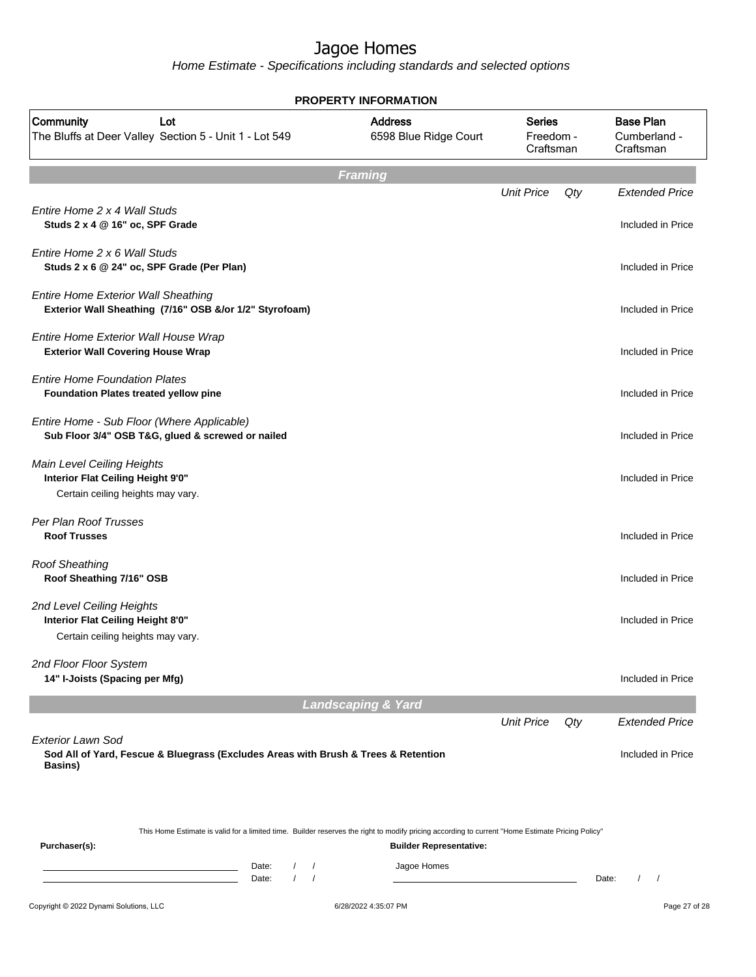|                                                                                                                                                                   | <b>PROPERTY INFORMATION</b>             |                                         |     |                                               |
|-------------------------------------------------------------------------------------------------------------------------------------------------------------------|-----------------------------------------|-----------------------------------------|-----|-----------------------------------------------|
| Community<br>Lot<br>The Bluffs at Deer Valley Section 5 - Unit 1 - Lot 549                                                                                        | <b>Address</b><br>6598 Blue Ridge Court | <b>Series</b><br>Freedom -<br>Craftsman |     | <b>Base Plan</b><br>Cumberland -<br>Craftsman |
|                                                                                                                                                                   | <b>Framing</b>                          |                                         |     |                                               |
| Entire Home 2 x 4 Wall Studs<br>Studs 2 x 4 @ 16" oc, SPF Grade                                                                                                   |                                         | <b>Unit Price</b>                       | Qty | <b>Extended Price</b><br>Included in Price    |
| Entire Home 2 x 6 Wall Studs<br>Studs 2 x 6 @ 24" oc, SPF Grade (Per Plan)                                                                                        |                                         |                                         |     | Included in Price                             |
| <b>Entire Home Exterior Wall Sheathing</b><br>Exterior Wall Sheathing (7/16" OSB &/or 1/2" Styrofoam)                                                             |                                         |                                         |     | Included in Price                             |
| Entire Home Exterior Wall House Wrap<br><b>Exterior Wall Covering House Wrap</b>                                                                                  |                                         |                                         |     | Included in Price                             |
| <b>Entire Home Foundation Plates</b><br>Foundation Plates treated yellow pine                                                                                     |                                         |                                         |     | Included in Price                             |
| Entire Home - Sub Floor (Where Applicable)<br>Sub Floor 3/4" OSB T&G, glued & screwed or nailed                                                                   |                                         |                                         |     | Included in Price                             |
| Main Level Ceiling Heights<br>Interior Flat Ceiling Height 9'0"<br>Certain ceiling heights may vary.                                                              |                                         |                                         |     | Included in Price                             |
| Per Plan Roof Trusses<br><b>Roof Trusses</b>                                                                                                                      |                                         |                                         |     | Included in Price                             |
| <b>Roof Sheathing</b><br>Roof Sheathing 7/16" OSB                                                                                                                 |                                         |                                         |     | Included in Price                             |
| 2nd Level Ceiling Heights<br>Interior Flat Ceiling Height 8'0"<br>Certain ceiling heights may vary.                                                               |                                         |                                         |     | Included in Price                             |
| 2nd Floor Floor System<br>14" I-Joists (Spacing per Mfg)                                                                                                          |                                         |                                         |     | Included in Price                             |
|                                                                                                                                                                   | <b>Landscaping &amp; Yard</b>           |                                         |     |                                               |
| <b>Exterior Lawn Sod</b>                                                                                                                                          |                                         | <b>Unit Price</b>                       | Qty | <b>Extended Price</b>                         |
| Sod All of Yard, Fescue & Bluegrass (Excludes Areas with Brush & Trees & Retention<br>Basins)                                                                     |                                         |                                         |     | Included in Price                             |
| This Home Estimate is valid for a limited time. Builder reserves the right to modify pricing according to current "Home Estimate Pricing Policy"<br>Purchaser(s): | <b>Builder Representative:</b>          |                                         |     |                                               |
| Date:<br>$\sqrt{2}$<br>$\prime$<br>$\sqrt{ }$<br>$\sqrt{ }$<br>Date:                                                                                              | Jagoe Homes                             |                                         |     | Date:<br>$\prime$                             |
| Copyright © 2022 Dynami Solutions, LLC                                                                                                                            | 6/28/2022 4:35:07 PM                    |                                         |     | Page 27 of 28                                 |